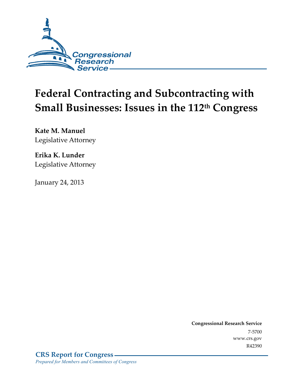

# **Federal Contracting and Subcontracting with Small Businesses: Issues in the 112th Congress**

**Kate M. Manuel**  Legislative Attorney

**Erika K. Lunder**  Legislative Attorney

January 24, 2013

**Congressional Research Service**  7-5700 www.crs.gov R42390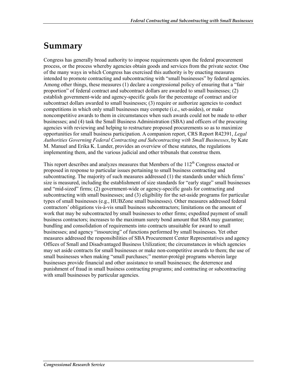### **Summary**

Congress has generally broad authority to impose requirements upon the federal procurement process, or the process whereby agencies obtain goods and services from the private sector. One of the many ways in which Congress has exercised this authority is by enacting measures intended to promote contracting and subcontracting with "small businesses" by federal agencies. Among other things, these measures (1) declare a congressional policy of ensuring that a "fair proportion" of federal contract and subcontract dollars are awarded to small businesses; (2) establish government-wide and agency-specific goals for the percentage of contract and/or subcontract dollars awarded to small businesses; (3) require or authorize agencies to conduct competitions in which only small businesses may compete (i.e., set-asides), or make noncompetitive awards to them in circumstances when such awards could not be made to other businesses; and (4) task the Small Business Administration (SBA) and officers of the procuring agencies with reviewing and helping to restructure proposed procurements so as to maximize opportunities for small business participation. A companion report, CRS Report R42391, *Legal Authorities Governing Federal Contracting and Subcontracting with Small Businesses*, by Kate M. Manuel and Erika K. Lunder, provides an overview of these statutes, the regulations implementing them, and the various judicial and other tribunals that construe them.

This report describes and analyzes measures that Members of the  $112<sup>th</sup>$  Congress enacted or proposed in response to particular issues pertaining to small business contracting and subcontracting. The majority of such measures addressed (1) the standards under which firms' size is measured, including the establishment of size standards for "early stage" small businesses and "mid-sized" firms; (2) government-wide or agency-specific goals for contracting and subcontracting with small businesses; and (3) eligibility for the set-aside programs for particular types of small businesses (e.g., HUBZone small businesses). Other measures addressed federal contractors' obligations vis-à-vis small business subcontractors; limitations on the amount of work that may be subcontracted by small businesses to other firms; expedited payment of small business contractors; increases to the maximum surety bond amount that SBA may guarantee; bundling and consolidation of requirements into contracts unsuitable for award to small businesses; and agency "insourcing" of functions performed by small businesses. Yet other measures addressed the responsibilities of SBA Procurement Center Representatives and agency Offices of Small and Disadvantaged Business Utilization; the circumstances in which agencies may set aside contracts for small businesses or make non-competitive awards to them; the use of small businesses when making "small purchases;" mentor-protégé programs wherein large businesses provide financial and other assistance to small businesses; the deterrence and punishment of fraud in small business contracting programs; and contracting or subcontracting with small businesses by particular agencies.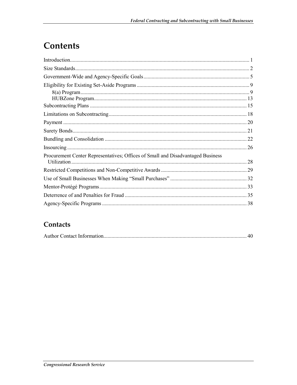# Contents

| Procurement Center Representatives; Offices of Small and Disadvantaged Business<br>Utilization. | 28 |
|-------------------------------------------------------------------------------------------------|----|
|                                                                                                 |    |
|                                                                                                 |    |
|                                                                                                 |    |
|                                                                                                 |    |
|                                                                                                 |    |

#### Contacts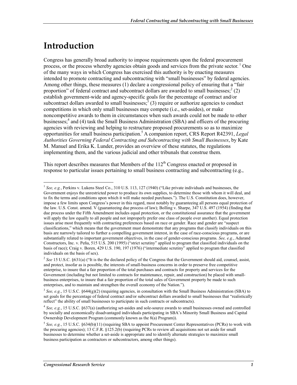## **Introduction**

1

Congress has generally broad authority to impose requirements upon the federal procurement process, or the process whereby agencies obtain goods and services from the private sector.<sup>1</sup> One of the many ways in which Congress has exercised this authority is by enacting measures intended to promote contracting and subcontracting with "small businesses" by federal agencies. Among other things, these measures (1) declare a congressional policy of ensuring that a "fair proportion" of federal contract and subcontract dollars are awarded to small businesses;  $2$  (2) establish government-wide and agency-specific goals for the percentage of contract and/or subcontract dollars awarded to small businesses;  $3(3)$  require or authorize agencies to conduct competitions in which only small businesses may compete (i.e., set-asides), or make noncompetitive awards to them in circumstances when such awards could not be made to other businesses;<sup>4</sup> and (4) task the Small Business Administration (SBA) and officers of the procuring agencies with reviewing and helping to restructure proposed procurements so as to maximize opportunities for small business participation.5 A companion report, CRS Report R42391, *Legal Authorities Governing Federal Contracting and Subcontracting with Small Businesses*, by Kate M. Manuel and Erika K. Lunder, provides an overview of these statutes, the regulations implementing them, and the various judicial and other tribunals that construe them.

This report describes measures that Members of the  $112<sup>th</sup>$  Congress enacted or proposed in response to particular issues pertaining to small business contracting and subcontracting (e.g.,

<sup>1</sup> *See, e.g.*, Perkins v. Lukens Steel Co., 310 U.S. 113, 127 (1940) ("Like private individuals and businesses, the Government enjoys the unrestricted power to produce its own supplies, to determine those with whom it will deal, and to fix the terms and conditions upon which it will make needed purchases."). The U.S. Constitution does, however, impose a few limits upon Congress's power in this regard, most notably by guaranteeing all persons equal protection of the law. U.S. Const. amend. V (guaranteeing due process of law); Bolling v. Sharpe, 347 U.S. 497 (1954) (finding that due process under the Fifth Amendment includes equal protection, or the constitutional assurance that the government will apply the law equally to all people and not improperly prefer one class of people over another). Equal protection issues arise most frequently with contracting preferences based on race or gender. Race and gender are "suspect classifications," which means that the government must demonstrate that any programs that classify individuals on this basis are narrowly tailored to further a compelling government interest, in the case of race-conscious programs, or are substantially related to important government objectives, in the case of gender-conscious programs. *See, e.g.*, Adarand Constructors, Inc. v. Peña, 515 U.S. 200 (1995) ("strict scrutiny" applied to program that classified individuals on the basis of race); Craig v. Boren, 429 U.S. 190, 197 (1976) ("intermediate scrutiny" applied to program that classified individuals on the basis of sex).

<sup>&</sup>lt;sup>2</sup> See 15 U.S.C. §631(a) ("It is the the declared policy of the Congress that the Government should aid, counsel, assist, and protect, insofar as is possible, the interests of small-business concerns in order to preserve free competitive enterprise, to insure that a fair proportion of the total purchases and contracts for property and services for the Government (including but not limited to contracts for maintenance, repair, and construction) be placed with smallbusiness enterprises, to insure that a fair proportion of the total sales of Government property be made to such enterprises, and to maintain and strengthen the overall economy of the Nation.").

 $3$  *See, e.g.*, 15 U.S.C. §644(g)(2) (requiring agencies, in consultation with the Small Business Administration (SBA) to set goals for the percentage of federal contract and/or subcontract dollars awarded to small businesses that "realistically reflect" the ability of small businesses to participate in such contracts or subcontracts).

<sup>4</sup> *See, e.g.*, 15 U.S.C. §637(a) (authorizing set-asides and sole-source awards to small businesses owned and controlled by socially and economically disadvantaged individuals participating in SBA's Minority Small Business and Capital Ownership Development Program (commonly known as the 8(a) Program)).

 $5$  *See, e.g.*, 15 U.S.C. §634(b)(11) (requiring SBA to appoint Procurement Center Representatives (PCRs) to work with the procuring agencies); 13 C.F.R. §125.2(b) (requiring PCRs to review all acquisitions not set aside for small businesses to determine whether a set-aside is appropriate and to identify alternate strategies to maximize small business participation as contractors or subcontractors, among other things).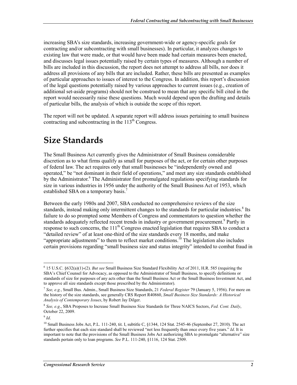increasing SBA's size standards, increasing government-wide or agency-specific goals for contracting and/or subcontracting with small businesses). In particular, it analyzes changes to existing law that were made, or that would have been made had certain measures been enacted, and discusses legal issues potentially raised by certain types of measures. Although a number of bills are included in this discussion, the report does not attempt to address all bills, nor does it address all provisions of any bills that are included. Rather, these bills are presented as examples of particular approaches to issues of interest to the Congress. In addition, this report's discussion of the legal questions potentially raised by various approaches to current issues (e.g., creation of additional set-aside programs) should not be construed to mean that any specific bill cited in the report would necessarily raise these questions. Much would depend upon the drafting and details of particular bills, the analysis of which is outside the scope of this report.

The report will not be updated. A separate report will address issues pertaining to small business contracting and subcontracting in the 113<sup>th</sup> Congress.

### **Size Standards**

The Small Business Act currently gives the Administrator of Small Business considerable discretion as to what firms qualify as small for purposes of the act, or for certain other purposes of federal law. The act requires only that small businesses be "independently owned and operated," be "not dominant in their field of operations," and meet any size standards established by the Administrator.<sup>6</sup> The Administrator first promulgated regulations specifying standards for size in various industries in 1956 under the authority of the Small Business Act of 1953, which established SBA on a temporary basis.<sup>7</sup>

Between the early 1980s and 2007, SBA conducted no comprehensive reviews of the size standards, instead making only intermittent changes to the standards for particular industries.<sup>8</sup> Its failure to do so prompted some Members of Congress and commentators to question whether the standards adequately reflected recent trends in industry or government procurement.<sup>9</sup> Partly in response to such concerns, the  $111<sup>th</sup>$  Congress enacted legislation that requires SBA to conduct a "detailed review" of at least one-third of the size standards every 18 months, and make "appropriate adjustments" to them to reflect market conditions.<sup>10</sup> The legislation also includes certain provisions regarding "small business size and status integrity" intended to combat fraud in

<u>.</u>

<sup>6</sup> 15 U.S.C. §632(a)(1)-(2). *But see* Small Business Size Standard Flexibility Act of 2011, H.R. 585 (requiring the SBA's Chief Counsel for Advocacy, as opposed to the Administrator of Small Business, to specify definitions or standards of size for purposes of any acts other than the Small Business Act or the Small Business Investment Act, and to approve all size standards except those prescribed by the Administrator).

<sup>7</sup> *See, e.g.*, Small Bus. Admin., Small Business Size Standards, 21 *Federal Register* 79 (January 5, 1956). For more on the history of the size standards, see generally CRS Report R40860, *Small Business Size Standards: A Historical Analysis of Contemporary Issues*, by Robert Jay Dilger.

<sup>8</sup> *See, e.g*., SBA Proposes to Increase Small Business Size Standards for Three NAICS Sectors, *Fed. Cont. Daily*, October 22, 2009.

<sup>9</sup> *Id*.

<sup>&</sup>lt;sup>10</sup> Small Business Jobs Act, P.L. 111-240, tit. I, subtitle C, §1344, 124 Stat. 2545-46 (September 27, 2010). The act further specifies that each size standard shall be reviewed "not less frequently than once every five years." *Id*. It is important to note that the provisions of the Small Business Jobs Act authorizing SBA to promulgate "alternative" size standards pertain only to loan programs. *See* P.L. 111-240, §1116, 124 Stat. 2509.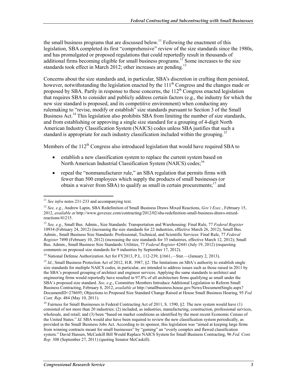the small business programs that are discussed below.<sup>11</sup> Following the enactment of this legislation, SBA completed its first "comprehensive" review of the size standards since the 1980s, and has promulgated or proposed regulations that could reportedly result in thousands of additional firms becoming eligible for small business programs.<sup>12</sup> Some increases to the size standards took effect in March 2012; other increases are pending.<sup>13</sup>

Concerns about the size standards and, in particular, SBA's discretion in crafting them persisted, however, notwithstanding the legislation enacted by the  $111<sup>th</sup>$  Congress and the changes made or proposed by SBA. Partly in response to these concerns, the  $112<sup>th</sup>$  Congress enacted legislation that requires SBA to consider and publicly address certain factors (e.g., the industry for which the new size standard is proposed, and its competitive environment) when conducting any rulemaking to "revise, modify or establish" size standards pursuant to Section 3 of the Small Business Act.<sup>14</sup> This legislation also prohibits SBA from limiting the number of size standards, and from establishing or approving a single size standard for a grouping of 4-digit North American Industry Classification System (NAICS) codes unless SBA justifies that such a standard is appropriate for each industry classification included within the grouping.<sup>15</sup>

Members of the  $112<sup>th</sup>$  Congress also introduced legislation that would have required SBA to

- establish a new classification system to replace the current system based on North American Industrial Classification System (NAICS) codes;<sup>16</sup>
- repeal the "nonmanufacturer rule," an SBA regulation that permits firms with fewer than 500 employees which supply the products of small businesses (or obtain a waiver from SBA) to qualify as small in certain procurements;<sup>17</sup> and

<sup>1</sup> <sup>11</sup> See infra notes 231-233 and accompanying text.

<sup>12</sup> *See, e.g.*, Andrew Lapin, SBA Redefinition of Small Business Draws Mixed Reactions, *Gov't Exec.*, February 15, 2012, *available at* http://www.govexec.com/contracting/2012/02/sba-redefinition-small-business-draws-mixedreactions/41215.

<sup>13</sup> *See, e.g.*, Small Bus. Admin., Size Standards: Transportation and Warehousing: Final Rule, 77 *Federal Register* 10934 (February 24, 2012) (increasing the size standards for 22 industries, effective March 26, 2012); Small Bus. Admin., Small Business Size Standards: Professional, Technical, and Scientific Services: Final Rule, 77 *Federal Register* 7490 (February 10, 2012) (increasing the size standards for 35 industries, effective March 12, 2012); Small Bus. Admin., Small Business Size Standards: Utilities, 77 *Federal Register* 42441 (July 19, 2012) (requesting comments on proposed size standards for 9 industries by September 17, 2012).

<sup>&</sup>lt;sup>14</sup> National Defense Authorization Act for FY2013, P.L. 112-239, §1661,—Stat.—(January 2, 2013).

<sup>&</sup>lt;sup>15</sup> *Id.*; Small Business Protection Act of 2012, H.R. 3987, §2. The limitations on SBA's authority to establish single size standards for multiple NAICS codes, in particular, are intended to address issues such as those raised in 2011 by the SBA's proposed grouping of architect and engineer services. Applying the same standards to architect and engineering firms would reportedly have resulted in 97.8% of all architecture firms qualifying as small under the SBA's proposed size standard. *See, e.g*., Committee Members Introduce Additional Legislation to Reform Small Business Contracting, February 8, 2012, *available at* http://smallbusiness.house.gov/News/DocumentSingle.aspx? DocumentID=278695; Objections to Proposed Size Standard Change Raised at House Small Business Hearing, 95 *Fed. Cont. Rep*. 484 (May 10, 2011).

<sup>&</sup>lt;sup>16</sup> Fairness for Small Businesses in Federal Contracting Act of 2011, S. 1590, §2. The new system would have (1) consisted of not more than 20 industries; (2) included, as industries, manufacturing, construction, professional services, wholesale, and retail; and (3) been "based on market conditions as identified by the most recent Economic Census of the United States." *Id*. SBA would also have been required to review the new classification system periodically, as provided in the Small Business Jobs Act. According to its sponsor, this legislation was "aimed at keeping large firms from winning contracts meant for small businesses" by "gaming" an "overly complex and flawed classification system." David Hansen, McCaskill Bill Would Replace NAICS System for Small Business Contracting, 96 *Fed. Cont. Rep.* 308 (September 27, 2011) (quoting Senator McCaskill).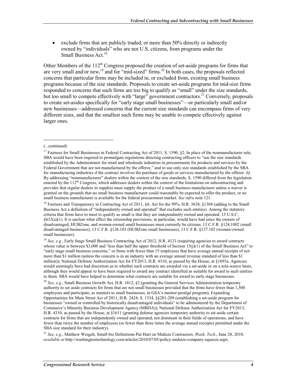• exclude firms that are publicly traded, or more than 50% directly or indirectly owned by "individuals" who are not U.S. citizens, from programs under the Small Business Act.<sup>18</sup>

Other Members of the  $112<sup>th</sup>$  Congress proposed the creation of set-aside programs for firms that are very small and/or new,<sup>19</sup> and for "mid-sized" firms.<sup>20</sup> In both cases, the proposals reflected concerns that particular firms may be included in, or excluded from, existing small business programs because of the size standards. Proposals to create set-aside programs for mid-size firms responded to concerns that such firms are too big to qualify as "small" under the size standards, but too small to compete effectively with "large" government contractors.<sup>21</sup> Conversely, proposals to create set-asides specifically for "early stage small businesses"—or particularly small and/or new businesses—addressed concerns that the current size standards can encompass firms of very different sizes, and that the smallest such firms may be unable to compete effectively against larger ones.

1

<sup>18</sup> Fairness and Transparency in Contracting Act of 2011, §4; Act for the 99%, H.R. 3638, §1304 (adding to the Small Business Act a definition of "independently owned and operated" that excludes such entities). Among the statutory criteria that firms have to meet to qualify as small is that they are independently owned and operated. 15 U.S.C. §632(a)(1). It is unclear what effect the citizenship provisions, in particular, would have had since the owners of disadvantaged, HUBZone, and women-owned small businesses must currently be citizens. 13 C.F.R. §124.1002 (small disadvantaged businesses); 13 C.F.R. §126.103 (HUBZone small businesses); 13 C.F.R. §127.102 (women-owned small businesses).

<sup>19</sup> See, e.g., Early Stage Small Business Contracting Act of 2012, H.R. 4121 (requiring agencies to award contracts whose value is between \$3,000 and "less than half the upper threshold of Section  $15(j)(1)$  of the Small Business Act" to "early stage small business concerns," or firms with fewer than 15 employees that have average annual receipts of not more than \$1 million (unless the concern is in an industry with an average annual revenue standard of less than \$1 million)); National Defense Authorization Act for FY2013, H.R. 4310, as passed by the House, at §1693a. Agencies would seemingly have had discretion as to whether such contracts are awarded via a set-aside or on a sole-source basis, although they would appear to have been required to award any contract identified as suitable for award to such entities to them. SBA would have helped to determine what contracts are suitable for award to early stage businesses.

<sup>21</sup> *See, e.g.*, Matthew Weigelt, Small-biz Definitions Put Hurt on Midsize Contractors, *Wash. Tech.*, June 28, 2010, *available at* http://washingtontechnology.com/articles/2010/07/05/policy-midsize-company-squeeze.aspx.

<sup>(...</sup>continued)

<sup>&</sup>lt;sup>17</sup> Fairness for Small Businesses in Federal Contracting Act of 2011, S. 1590, §2. In place of the nonmanufacturer rule, SBA would have been required to promulgate regulations directing contracting officers to "use the size standards established by the Administrator for retail and wholesale industries in procurements for products and services by the Federal Government that are not manufactured by the offeror," and to use only size standards established by the SBA for manufacturing industries if the contract involves the purchase of goods or services manufactured by the offeror. *Id*. By addressing "nonmanufacturer" dealers within the context of the size standards, S. 1590 differed from the legislation enacted by the  $112<sup>th</sup>$  Congress, which addresses dealers within the context of the limitations on subcontracting and provides that regular dealers in supplies must supply the product of a small business manufacturer unless a waiver is granted on the grounds that no small business manufacturer could reasonably be expected to offer the product, or no small business manufacturer is available for the federal procurement market. *See infra* note 121.

<sup>20</sup> *See, e.g.*, Small Business Growth Act, H.R. 1812, §2 (granting the General Services Administration temporary authority to set aside contracts for firms that are not small businesses provided that the firms have fewer than 1,500 employees and participate, as mentors to small businesses, in GSA's mentor-protégé program); Expanding Opportunities for Main Street Act of 2011, H.R. 2424; S. 1334, §§201-209 (establishing a set-aside program for businesses "owned or controlled by historically disadvantaged individuals" to be administered by the Department of Commerce's Minority Business Development Agency (MBDA)); National Defense Authorization Act for FY2013, H.R. 4310, as passed by the House, at §1611 (granting defense agencies temporary authority to set aside certain contracts for firms that are independently owned and operated, not dominant in their fields of operations, and have fewer than twice the number of employees (or fewer than three times the average annual receipts) permitted under the SBA size standard for their industry).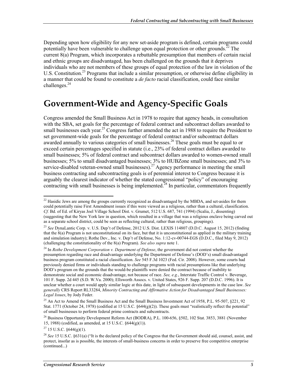Depending upon how eligibility for any new set-aside program is defined, certain programs could potentially have been vulnerable to challenge upon equal protection or other grounds.<sup> $22$ </sup> The current 8(a) Program, which incorporates a rebuttable presumption that members of certain racial and ethnic groups are disadvantaged, has been challenged on the grounds that it deprives individuals who are not members of these groups of equal protection of the law in violation of the U.S. Constitution.<sup>23</sup> Programs that include a similar presumption, or otherwise define eligibility in a manner that could be found to constitute a *de facto* racial classification, could face similar challenges.<sup>24</sup>

#### **Government-Wide and Agency-Specific Goals**

Congress amended the Small Business Act in 1978 to require that agency heads, in consultation with the SBA, set goals for the percentage of federal contract and subcontract dollars awarded to small businesses each year.<sup>25</sup> Congress further amended the act in 1988 to require the President to set government-wide goals for the percentage of federal contract and/or subcontract dollars awarded annually to various categories of small businesses.<sup>26</sup> These goals must be equal to or exceed certain percentages specified in statute (i.e., 23% of federal contract dollars awarded to small businesses; 5% of federal contract and subcontract dollars awarded to women-owned small businesses; 5% to small disadvantaged businesses; 3% to HUBZone small businesses; and 3% to service-disabled veteran-owned small businesses).<sup>27</sup> Agency performance in meeting the small business contracting and subcontracting goals is of perennial interest to Congress because it is arguably the clearest indicator of whether the stated congressional "policy" of encouraging contracting with small businesses is being implemented.<sup>28</sup> In particular, commentators frequently

<sup>1</sup>  $^{22}$  Hasidic Jews are among the groups currently recognized as disadvantaged by the MBDA, and set-asides for them could potentially raise First Amendment issues if this were viewed as a religious, rather than a cultural, classification. *Cf.* Bd. of Ed. of Kiryas Joel Village School Dist. v. Grumet, 512 U.S. 687, 741 (1994) (Scalia, J., dissenting) (suggesting that the New York law in question, which resulted in a village that was a religious enclave being carved out as a separate school district, could be seen as reflecting cultural, rather than religious, groupings).

<sup>23</sup> *See* DynaLantic Corp. v. U.S. Dep't of Defense, 2012 U.S. Dist. LEXIS 114807 (D.D.C. August 15, 2012) (finding that the 8(a) Program is not unconstitutional on its face, but that it is unconstitutional as applied in the military training and simulation industry); Rothe Dev., Inc. v. Dep't of Defense, No. 1:12-cv-00744-EGS (D.D.C., filed May 9, 2012) (challenging the constitutionality of the 8(a) Program). *See also supra* note 1.

<sup>24</sup> In *Rothe Development Corporation v. Department of Defense*, the government did not contest whether the presumption regarding race and disadvantage underlying the Department of Defense's (DOD's) small disadvantaged business program constituted a racial classification. *See* 545 F.3d 1023 (Fed. Cir. 2008). However, some courts had previously denied firms or individuals standing to challenge programs with racial presumptions like that underlying DOD's program on the grounds that the would-be plaintiffs were denied the contract because of inability to demonstrate social and economic disadvantage, not because of race. *See, e.g.*, Interstate Traffic Control v. Beverage, 101 F. Supp. 2d 445 (S.D. W.Va. 2000); Ellsworth Assocs. v. United States, 926 F. Supp. 207 (D.D.C. 1996). It is unclear whether a court would apply similar logic at this date, in light of subsequent developments in the case law. *See generally* CRS Report RL33284, *Minority Contracting and Affirmative Action for Disadvantaged Small Businesses: Legal Issues*, by Jody Feder.

<sup>&</sup>lt;sup>25</sup> An Act to Amend the Small Business Act and the Small Business Investment Act of 1958, P.L. 95-507, §221, 92 Stat. 1771 (October 24, 1978) (codified at 15 U.S.C. §644(g)(2)). These goals must "realistically reflect the potential" of small businesses to perform federal prime contracts and subcontracts.

 $^{26}$  Business Opportunity Development Reform Act (BODRA), P.L. 100-656, §502, 102 Stat. 3853, 3881 (November 15, 1988) (codified, as amended, at 15 U.S.C. §644(g)(1)).

 $27$  15 U.S.C.  $\S 644(g)(1)$ .

<sup>28</sup> *See* 15 U.S.C. §631(a) ("It is the declared policy of the Congress that the Government should aid, counsel, assist, and protect, insofar as is possible, the interests of small-business concerns in order to preserve free competitive enterprise (continued...)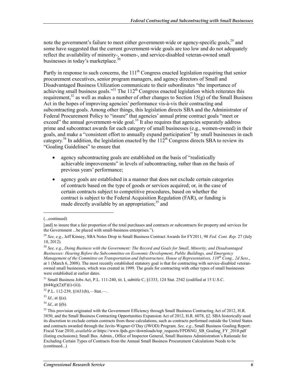note the government's failure to meet either government-wide or agency-specific goals,<sup>29</sup> and some have suggested that the current government-wide goals are too low and do not adequately reflect the availability of minority-, women-, and service-disabled veteran-owned small businesses in today's marketplace.<sup>30</sup>

Partly in response to such concerns, the  $111<sup>th</sup>$  Congress enacted legislation requiring that senior procurement executives, senior program managers, and agency directors of Small and Disadvantaged Business Utilization communicate to their subordinates "the importance of achieving small business goals.<sup>331</sup> The 112<sup>th</sup> Congress enacted legislation which reiterates this requirement,<sup>32</sup> as well as makes a number of other changes to Section 15(g) of the Small Business Act in the hopes of improving agencies' performance vis-à-vis their contracting and subcontracting goals. Among other things, this legislation directs SBA and the Administrator of Federal Procurement Policy to "insure" that agencies' annual prime contract goals "meet or exceed" the annual government-wide goal.<sup>33</sup> It also requires that agencies separately address prime and subcontract awards for each category of small businesses (e.g., women-owned) in their goals, and make a "consistent effort to annually expand participation" by small businesses in each category.<sup>34</sup> In addition, the legislation enacted by the  $112<sup>th</sup>$  Congress directs SBA to review its "Goaling Guidelines" to ensure that

- agency subcontracting goals are established on the basis of "realistically achievable improvements" in levels of subcontracting, rather than on the basis of previous years' performance;
- agency goals are established in a manner that does not exclude certain categories of contracts based on the type of goods or services acquired; or, in the case of certain contracts subject to competitive procedures, based on whether the contract is subject to the Federal Acquisition Regulation (FAR), or funding is made directly available by an appropriation;<sup>35</sup> and

1

<sup>31</sup> Small Business Jobs Act, P.L. 111-240, tit. I, subtitle C, §1333, 124 Stat. 2542 (codified at 15 U.S.C.  $§644(g)(2)(F)(i)-(ii)).$ 

<sup>(...</sup>continued)

<sup>[</sup>and] to insure that a fair proportion of the total purchases and contracts or subcontracts for property and services for the Government ...be placed with small-business enterprises.").

<sup>29</sup> *See, e.g.*, Jeff Kinney, SBA Notes Drop in Small Business Contract Awards for FY2011, 98 *Fed. Cont. Rep.* 27 (July 10, 2012).

<sup>30</sup> *See, e.g.*, *Doing Business with the Government: The Record and Goals for Small, Minority, and Disadvantaged Businesses: Hearing Before the Subcommittee on Economic Development, Public Buildings, and Emergency Management of the Committee on Transportation and Infrastructure, House of Representatives, 110th Cong., 2d Sess.*, at 1 (March 6, 2008). The most recently established statutory goal is that for contracting with service-disabled veteranowned small businesses, which was created in 1999. The goals for contracting with other types of small businesses were established at earlier dates.

<sup>32</sup> P.L. 112-239, §1631(b),—Stat.—.

 $33$  *Id.*, at  $\S$ (a).

<sup>34</sup> *Id*., at §(b).

<sup>&</sup>lt;sup>35</sup> This provision originated with the Government Efficiency through Small Business Contracting Act of 2012, H.R. 3850, and the Small Business Contracting Opportunities Expansion Act of 2012, H.R. 6078, §2. SBA historically used its discretion to exclude certain contracts from these calculations, such as contracts performed outside the United States and contracts awarded through the Javits-Wagner-O'Day (JWOD) Program. *See, e.g.*, Small Business Goaling Report: Fiscal Year 2010, *available at* https://www.fpds.gov/downloads/top\_requests/FPDSNG\_SB\_Goaling\_FY\_2010.pdf (listing exclusions); Small Bus. Admin., Office of Inspector General, Small Business Administration's Rationale for Excluding Certain Types of Contracts from the Annual Small Business Procurement Calculations Needs to be (continued...)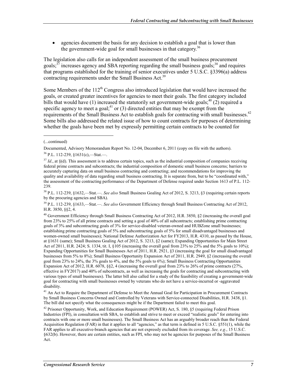agencies document the basis for any decision to establish a goal that is lower than the government-wide goal for small businesses in that category.<sup>36</sup>

The legislation also calls for an independent assessment of the small business procurement goals;  $37$  increases agency and SBA reporting regarding the small business goals;  $38$  and requires that programs established for the training of senior executives under 5 U.S.C. §3396(a) address contracting requirements under the Small Business Act.<sup>39</sup>

Some Members of the  $112<sup>th</sup>$  Congress also introduced legislation that would have increased the goals, or created greater incentives for agencies to meet their goals. The first category included bills that would have (1) increased the statutorily set government-wide goals;  $40$  (2) required a specific agency to meet a goal;<sup>41</sup> or (3) directed entities that may be exempt from the requirements of the Small Business Act to establish goals for contracting with small businesses.<sup>42</sup> Some bills also addressed the related issue of how to count contracts for purposes of determining whether the goals have been met by expressly permitting certain contracts to be counted for

1

38 P.L. 112-239, §1632,—Stat.—. *See also* Small Business Goaling Act of 2012, S. 3213, §3 (requiring certain reports by the procuring agencies and SBA).

39 P.L. 112-239, §1633,—Stat.—. *See also* Government Efficiency through Small Business Contracting Act of 2012, H.R. 3850, §§2, 4.

<sup>40</sup> Government Efficiency through Small Business Contracting Act of 2012, H.R. 3850, §2 (increasing the overall goal from 23% to 25% of all prime contracts and setting a goal of 40% of all subcontracts; establishing prime contracting goals of 3% and subcontracting goals of 3% for service-disabled veteran-owned and HUBZone small businesses; establishing prime contracting goals of 5% and subcontracting goals of 5% for small disadvantaged businesses and women-owned small businesses); National Defense Authorization Act for FY2013, H.R. 4310, as passed by the House, at §1631 (same); Small Business Goaling Act of 2012, S. 3213, §2 (same); Expanding Opportunities for Main Street Act of 2011, H.R. 2424; S. 1334, tit. I, §105 (increasing the overall goal from 23% to 25% and the 5% goals to 10%); Expanding Opportunities for Small Businesses Act of 2011, H.R. 2921, §3 (increasing the goal for small disadvantaged businesses from 5% to 8%); Small Business Opportunity Expansion Act of 2011, H.R. 2949, §2 (increasing the overall goal from 23% to 24%, the 3% goals to 4%, and the 5% goals to 6%); Small Business Contracting Opportunities Expansion Act of 2012, H.R. 6078, §§2, 4 (increasing the overall goal from 23% to 26% of prime contracts (27%, effective in FY2017) and 40% of subcontracts, as well as increasing the goals for contracting and subcontracting with various types of small businesses). The latter bill also called for a study of the feasibility of creating a government-wide goal for contracting with small businesses owned by veterans who do not have a service-incurred or -aggravated disability.

<sup>41</sup> An Act to Require the Department of Defense to Meet the Annual Goal for Participation in Procurement Contracts by Small Business Concerns Owned and Controlled by Veterans with Service-connected Disabilities, H.R. 3438, §1. The bill did not specify what the consequences might be if the Department failed to meet this goal.

 $42$  Prisoner Opportunity, Work, and Education Requirement (POWER) Act, S. 180, §5 (requiring Federal Prison Industries (FPI), in consultation with SBA, to establish and strive to meet or exceed "realistic goals" for entering into contracts with one or more small businesses). The Small Business Act has an arguably broader reach than the Federal Acquisition Regulation (FAR) in that it applies to all "agencies," as that term is defined in 5 U.S.C. §551(1), while the FAR applies to all executive-branch agencies that are not expressly excluded from its coverage. *See, e.g.*, 15 U.S.C. §632(b). However, there are certain entities, such as FPI, who may not be agencies for purposes of the Small Business Act.

<sup>(...</sup>continued)

Documented, Advisory Memorandum Report No. 12-04, December 6, 2011 (copy on file with the authors).  $36$  P.L. 112-239,  $$1631(c)$ , Stat.

<sup>&</sup>lt;sup>37</sup> *Id.*, at §(d). This assessment is to address certain topics, such as the industrial composition of companies receiving federal prime contracts and subcontracts; the industrial composition of domestic small business concerns; barriers to accurately capturing data on small business contracting and contracting; and recommendations for improving the quality and availability of data regarding small business contracting. It is separate from, but to be "coordinated with," the assessment of the contracting performance of the Department of Defense required under Section 1613 of P.L. 112- 239.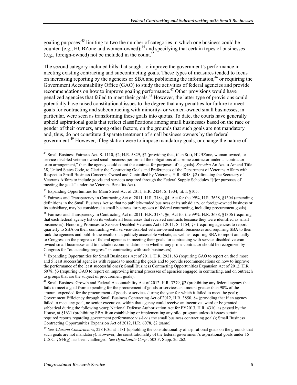goaling purposes;<sup>43</sup> limiting to two the number of categories in which one business could be counted  $(e.g., HUBZone and women-owned);$ <sup>44</sup> and specifying that certain types of businesses (e.g., foreign-owned) not be included in the count.<sup>45</sup>

The second category included bills that sought to improve the government's performance in meeting existing contracting and subcontracting goals. These types of measures tended to focus on increasing reporting by the agencies or SBA and publicizing the information,<sup>46</sup> or requiring the Government Accountability Office (GAO) to study the activities of federal agencies and provide recommendations on how to improve goaling performance.<sup>47</sup> Other provisions would have penalized agencies that failed to meet their goals.<sup>48</sup> However, the latter type of provisions could potentially have raised constitutional issues to the degree that any penalties for failure to meet goals for contracting and subcontracting with minority- or women-owned small businesses, in particular, were seen as transforming these goals into quotas. To date, the courts have generally upheld aspirational goals that reflect classifications among small businesses based on the race or gender of their owners, among other factors, on the grounds that such goals are not mandatory and, thus, do not constitute disparate treatment of small business owners by the federal government.49 However, if legislation were to impose mandatory goals, or change the nature of

<u>.</u>

<sup>43</sup> Small Business Fairness Act, S. 1110, §2; H.R. 5829, §2 (providing that, if an 8(a), HUBZone, woman-owned, or service-disabled veteran-owned small business performed the obligations of a prime contractor under a "contractor team arrangement," then the agency could count the contract for purposes of its goals). *See also* An Act to Amend Title 38, United States Code, to Clarify the Contracting Goals and Preferences of the Department of Veterans Affairs with Respect to Small Business Concerns Owned and Controlled by Veterans, H.R. 4048, §2 (directing the Secretary of Veterans Affairs to include goods and services acquired through the Federal Supply Schedules "[f]or purposes of meeting the goals" under the Veterans Benefits Act).

<sup>&</sup>lt;sup>44</sup> Expanding Opportunities for Main Street Act of 2011, H.R. 2424; S. 1334, tit. I, §105.

<sup>45</sup> Fairness and Transparency in Contracting Act of 2011, H.R. 3184, §4; Act for the 99%, H.R. 3638, §1304 (amending definitions in the Small Business Act so that no publicly-traded business or its subsidiary, or foreign-owned business or its subsidiary, may be considered a small business for purposes of federal contracting, including procurement goals).

 $^{46}$  Fairness and Transparency in Contracting Act of 2011, H.R. 3184, §6; Act for the 99%, H.R. 3638, §1306 (requiring that each federal agency list on its website all businesses that received contracts because they were identified as small businesses); Honoring Promises to Service-Disabled Veterans Act of 2011, S. 1154, §3 (requiring agencies to report quarterly to SBA on their contracting with service-disabled veteran-owned small businesses and requiring SBA to then rank the agencies and publish the results on a publicly accessible website, as well as requiring SBA to report annually to Congress on the progress of federal agencies in meeting their goals for contracting with service-disabled veteranowned small businesses and to include recommendations on whether any prime contractor should be recognized by Congress for "outstanding progress" in contracting with such businesses).

<sup>&</sup>lt;sup>47</sup> Expanding Opportunities for Small Businesses Act of 2011, H.R. 2921, §3 (requiring GAO to report on the 5 most and 5 least successful agencies with regards to meeting the goals and to provide recommendations on how to improve the performance of the least successful ones); Small Business Contracting Opportunities Expansion Act of 2012, H.R. 6078, §3 (requiring GAO to report on improving internal processes of agencies engaged in contracting, and on outreach to groups that are the subject of procurement goals).

<sup>&</sup>lt;sup>48</sup> Small Business Growth and Federal Accountability Act of 2012, H.R. 3779, §2 (prohibiting any federal agency that fails to meet a goal from expending for the procurement of goods or services an amount greater than 90% of the amount expended for the procurement of goods or services during the year for which it failed to meet the goal); Government Efficiency through Small Business Contracting Act of 2012, H.R. 3850, §4 (providing that if an agency failed to meet any goal, no senior executives within that agency could receive an incentive award or be granted a sabbatical during the following year); National Defense Authorization Act for FY2013, H.R. 4310, as passed by the House, at §1631 (prohibiting SBA from establishing or implementing any pilot program unless it issues certain required reports regarding government performance vis-à-vis the small business contracting goals); Small Business Contracting Opportunities Expansion Act of 2012, H.R. 6078, §2 (same).

<sup>49</sup> *See Adarand Constructors*, 228 F.3d at 1181 (upholding the constitutionality of aspirational goals on the grounds that such goals are not mandatory). However, the constitutionality of the federal government's aspirational goals under 15 U.S.C. §644(g) has been challenged. *See DynaLantic Corp.*, 503 F. Supp. 2d 262.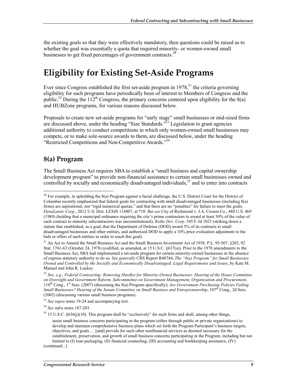the existing goals so that they were effectively mandatory, then questions could be raised as to whether the goal was essentially a quota that required minority- or women-owned small businesses to get fixed percentages of government contracts.<sup>50</sup>

### **Eligibility for Existing Set-Aside Programs**

Ever since Congress established the first set-aside program in  $1978$ , <sup>51</sup> the criteria governing eligibility for such programs have periodically been of interest to Members of Congress and the public.<sup>52</sup> During the 112<sup>th</sup> Congress, the primary concerns centered upon eligibility for the 8(a) and HUBZone programs, for various reasons discussed below.

Proposals to create new set-aside programs for "early stage" small businesses or mid-sized firms are discussed above, under the heading "Size Standards."<sup>53</sup> Legislation to grant agencies additional authority to conduct competitions in which only women-owned small businesses may compete, or to make sole-source awards to them, are discussed below, under the heading "Restricted Competitions and Non-Competitive Awards."54

#### **8(a) Program**

1

The Small Business Act requires SBA to establish a "small business and capital ownership development program" to provide non-financial assistance to certain small businesses owned and controlled by socially and economically disadvantaged individuals,<sup>55</sup> and to enter into contracts

 $50$  For example, in upholding the 8(a) Program against a facial challenge, the U.S. District Court for the District of Columbia recently emphasized that federal goals for contracting with small disadvantaged businesses (including 8(a) firms) are aspirational, not "rigid numerical quotas," and that there are no "penalties" for failure to meet the goals. *DynaLantic Corp.*, 2012 U.S. Dist. LEXIS 114807, at \*10. *But see* City of Richmond v. J.A. Croson Co., 488 U.S. 469 (1989) (holding that a municipal ordinance requiring the city's prime contractors to award at least 30% of the value of each contract to minority subcontractors was unconstitutional); *Rothe Dev. Corp.* 545 F.3d 1023 (striking down a statute that established, as a goal, that the Department of Defense (DOD) award 5% of its contracts to small disadvantaged businesses and other entities, and authorized DOD to apply a 10% price evaluation adjustment to the bids or offers of such entities in order to reach this goal).

<sup>51</sup> An Act to Amend the Small Business Act and the Small Business Investment Act of 1958, P.L. 95-507, §202, 92 Stat. 1761-63 (October 24, 1978) (codified, as amended, at 15 U.S.C. §637(a)). Prior to the 1978 amendments to the Small Business Act, SBA had implemented a set-aside program for certain minority-owned businesses in the absence of express statutory authority to do so. *See generally* CRS Report R40744, *The "8(a) Program" for Small Businesses Owned and Controlled by the Socially and Economically Disadvantaged: Legal Requirements and Issues*, by Kate M. Manuel and John R. Luckey.

<sup>52</sup> *See, e.g.*, *Federal Contracting: Removing Hurdles for Minority-Owned Businesses: Hearing of the House Committee on Oversight and Government Reform, Subcommittee on Government Management, Organization and Procurement*, 110th Cong., 1st Sess. (2007) (discussing the 8(a) Program specifically); *Are Government Purchasing Policies Failing Small Businesses? Hearing of the Senate Committee on Small Business and Entrepreneurship*, 107<sup>th</sup> Cong., 2d Sess. (2002) (discussing various small business programs).

<sup>53</sup> *See supra* notes 19-24 and accompanying text.

<sup>54</sup> *See infra* notes 187-203.

 $55$  15 U.S.C. §636(j)(10). This program shall be "exclusively" for such firms and shall, among other things,

assist small business concerns participating in the program (either through public or private organizations) to develop and maintain comprehensive business plans which set forth the Program Participant's business targets, objectives, and goals … [and] provide for such other nonfinancial services as deemed necessary for the establishment, preservation, and growth of small business concerns participating in the Program, including but not limited to (I) loan packaging, (II) financial counseling, (III) accounting and bookkeeping assistance, (IV)

<sup>(</sup>continued...)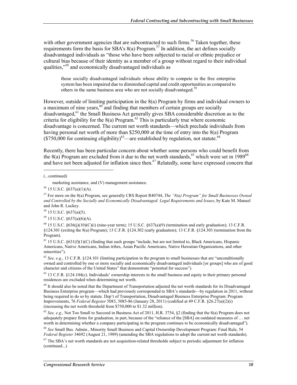with other government agencies that are subcontracted to such firms.<sup>56</sup> Taken together, these requirements form the basis for SBA's 8(a) Program.<sup>57</sup> In addition, the act defines socially disadvantaged individuals as "those who have been subjected to racial or ethnic prejudice or cultural bias because of their identity as a member of a group without regard to their individual qualities,"58 and economically disadvantaged individuals as

those socially disadvantaged individuals whose ability to compete in the free enterprise system has been impaired due to diminished capital and credit opportunities as compared to others in the same business area who are not socially disadvantaged.<sup>59</sup>

However, outside of limiting participation in the 8(a) Program by firms and individual owners to a maximum of nine years, $60$  and finding that members of certain groups are socially disadvantaged,<sup>61</sup> the Small Business Act generally gives SBA considerable discretion as to the criteria for eligibility for the  $8(a)$  Program.<sup>62</sup> This is particularly true where economic disadvantage is concerned. The current net worth standards—which preclude individuals from having personal net worth of more than \$250,000 at the time of entry into the 8(a) Program  $($ \$750,000 for continuing eligibility)<sup>63</sup>—are established by regulation, not statute.<sup>64</sup>

Recently, there has been particular concern about whether some persons who could benefit from the 8(a) Program are excluded from it due to the net worth standards,<sup>65</sup> which were set in 1989<sup>66</sup> and have not been adjusted for inflation since then.<sup>67</sup> Relatedly, some have expressed concern that

1

59 15 U.S.C. §637(a)(6)(A).

<sup>60</sup> 15 U.S.C. §636(j)(10)(C)(j) (nine-year term); 15 U.S.C. §637(a)(9) (termination and early graduation); 13 C.F.R. §124.301 (exiting the 8(a) Program); 13 C.F.R. §124.302 (early graduation); 13 C.F.R. §124.303 (termination from the Program).

 $61$  15 U.S.C. §631(f)(1)(C) (finding that such groups "include, but are not limited to, Black Americans, Hispanic Americans, Native Americans, Indian tribes, Asian Pacific Americans, Native Hawaiian Organizations, and other minorities").

<sup>62</sup> *See, e.g.*, 13 C.F.R. §124.101 (limiting participation in the program to small businesses that are "unconditionally owned and controlled by one or more socially and economically disadvantaged individuals [or groups] who are of good character and citizens of the United States" that demonstrate "potential for success").

 $64$  It should also be noted that the Department of Transportation adjusted the net worth standards for its Disadvantaged Business Enterprise program—which had previously corresponded to SBA's standards—by regulation in 2011, without being required to do so by statute. Dep't of Transportation, Disadvantaged Business Enterprise Program: Program Improvements, 76 *Federal Register* 5083, 5085-86 (January 28, 2011) (codified at 49 C.F.R. §26.27(a)(2)(i) (increasing the net worth threshold from \$750,000 to \$1.32 million).

<sup>65</sup> *See, e.g.*, Not Too Small to Succeed in Business Act of 2011, H.R. 3754, §2 (finding that the 8(a) Program does not adequately prepare firms for graduation, in part, because of the "reliance of the [SBA] on outdated measures of … net worth in determining whether a company participating in the program continues to be economically disadvantaged").

<sup>66</sup> *See* Small Bus. Admin., Minority Small Business and Capital Ownership Development Program: Final Rule, 54 *Federal Register* 34692 (August 21, 1989) (amending the SBA regulations to adopt the current net worth standards).

 $67$  The SBA's net worth standards are not acquisition-related thresholds subject to periodic adjustment for inflation (continued...)

<sup>(...</sup>continued)

marketing assistance, and (V) management assistance.

<sup>56 15</sup> U.S.C. §637(a)(1)(A).

<sup>57</sup> For more on the 8(a) Program, see generally CRS Report R40744, *The "8(a) Program" for Small Businesses Owned and Controlled by the Socially and Economically Disadvantaged: Legal Requirements and Issues*, by Kate M. Manuel and John R. Luckey.

 $58$  15 U.S.C.  $\S 637(a)(5)$ .

<sup>63 13</sup> C.F.R. §124.104(c). Individuals' ownership interests in the small business and equity in their primary personal residences are excluded when determining net worth.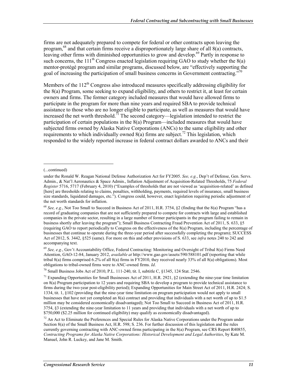firms are not adequately prepared to compete for federal or other contracts upon leaving the program,<sup>68</sup> and that certain firms receive a disproportionately large share of all 8(a) contracts, leaving other firms with diminished opportunities to grow and develop.<sup>69</sup> Partly in response to such concerns, the 111<sup>th</sup> Congress enacted legislation requiring GAO to study whether the  $8(a)$ mentor-protégé program and similar programs, discussed below, are "effectively supporting the goal of increasing the participation of small business concerns in Government contracting. $\frac{770}{6}$ 

Members of the  $112<sup>th</sup>$  Congress also introduced measures specifically addressing eligibility for the 8(a) Program, some seeking to expand eligibility, and others to restrict it, at least for certain owners and firms. The former category included measures that would have allowed firms to participate in the program for more than nine years and required SBA to provide technical assistance to those who are no longer eligible to participate, as well as measures that would have increased the net worth threshold.<sup>71</sup> The second category—legislation intended to restrict the participation of certain populations in the 8(a) Program—included measures that would have subjected firms owned by Alaska Native Corporations (ANCs) to the same eligibility and other requirements to which individually owned  $8(a)$  firms are subject.<sup>72</sup> This legislation, which responded to the widely reported increase in federal contract dollars awarded to ANCs and their

 $\overline{a}$ 

 $70$  Small Business Jobs Act of 2010, P.L. 111-240, tit. I, subtitle C,  $\S$ 1345, 124 Stat. 2546.

<sup>(...</sup>continued)

under the Ronald W. Reagan National Defense Authorization Act for FY2005. *See, e.g.*, Dep't of Defense, Gen. Servs. Admin., & Nat'l Aeronautics & Space Admin., Inflation Adjustment of Acquisition-Related Thresholds, 75 *Federal Register* 5716, 5717 (February 4, 2010) ("Examples of thresholds that are not viewed as 'acquisition-related' as defined [here] are thresholds relating to claims, penalties, withholding, payments, required levels of insurance, small business size standards, liquidated damages, etc."). Congress could, however, enact legislation requiring periodic adjustment of the net worth standards for inflation.

<sup>68</sup> *See, e.g.*, Not Too Small to Succeed in Business Act of 2011, H.R. 3754, §2 (finding that the 8(a) Program "has a record of graduating companies that are not sufficiently prepared to compete for contracts with large and established companies in the private sector, resulting in a large number of former participants in the program failing to remain in business shortly after leaving the program"); Small Business Contracting Fraud Prevention Act of 2011, S. 633, §5 (requiring GAO to report periodically to Congress on the effectiveness of the 8(a) Program, including the percentage of businesses that continue to operate during the three-year period after successfully completing the program); SUCCESS Act of 2012, S. 3442, §525 (same). For more on this and other provisions of S. 633, see *infra* notes 240 to 242 and accompanying text.

<sup>69</sup> *See, e.g.*, Gov't Accountability Office, Federal Contracting: Monitoring and Oversight of Tribal 8(a) Firms Need Attention, GAO-12-84, January 2012, *available at* http://www.gao.gov/assets/590/588101.pdf (reporting that while tribal 8(a) firms comprised 6.2% of all 8(a) firms in FY2010, they received nearly 33% of all 8(a) obligations). Most obligations to tribal-owned firms were to ANC-owned firms. *Id*.

<sup>&</sup>lt;sup>71</sup> Expanding Opportunities for Small Businesses Act of 2011, H.R. 2921,  $\S$ 2 (extending the nine-year time limitation on 8(a) Program participation to 12 years and requiring SBA to develop a program to provide technical assistance to firms during the two-year post-eligibility period); Expanding Opportunities for Main Street Act of 2011, H.R. 2424; S. 1334, tit. 1, §102 (providing that the nine-year time limitation on program participation would not apply to small businesses that have not yet completed an 8(a) contract and providing that individuals with a net worth of up to \$1.5 million may be considered economically disadvantaged); Not Too Small to Succeed in Business Act of 2011, H.R. 3754, §3 (extending the nine-year limitation to 11 years and providing that individuals with a net worth of up to \$750,000 (\$2.25 million for continued eligibility) may qualify as economically disadvantaged).

 $72$  An Act to Eliminate the Preferences and Special Rules for Alaska Native Corporations under the Program under Section 8(a) of the Small Business Act, H.R. 598; S. 236. For further discussion of this legislation and the rules currently governing contracting with ANC-owned firms participating in the 8(a) Program, see CRS Report R40855, *Contracting Programs for Alaska Native Corporations: Historical Development and Legal Authorities*, by Kate M. Manuel, John R. Luckey, and Jane M. Smith.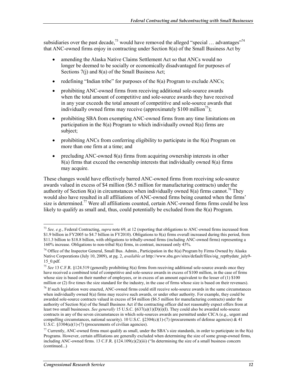subsidiaries over the past decade,<sup>73</sup> would have removed the alleged "special ... advantages"<sup>74</sup> that ANC-owned firms enjoy in contracting under Section 8(a) of the Small Business Act by

- amending the Alaska Native Claims Settlement Act so that ANCs would no longer be deemed to be socially or economically disadvantaged for purposes of Sections 7(j) and 8(a) of the Small Business Act;
- redefining "Indian tribe" for purposes of the 8(a) Program to exclude ANCs;
- prohibiting ANC-owned firms from receiving additional sole-source awards when the total amount of competitive and sole-source awards they have received in any year exceeds the total amount of competitive and sole-source awards that individually owned firms may receive (approximately \$100 million<sup>75</sup>);
- prohibiting SBA from exempting ANC-owned firms from any time limitations on participation in the 8(a) Program to which individually owned 8(a) firms are subject;
- prohibiting ANCs from conferring eligibility to participate in the 8(a) Program on more than one firm at a time; and
- precluding ANC-owned 8(a) firms from acquiring ownership interests in other 8(a) firms that exceed the ownership interests that individually owned 8(a) firms may acquire.

These changes would have effectively barred ANC-owned firms from receiving sole-source awards valued in excess of \$4 million (\$6.5 million for manufacturing contracts) under the authority of Section 8(a) in circumstances when individually owned  $\frac{8}{a}$  firms cannot.<sup>76</sup> They would also have resulted in all affiliations of ANC-owned firms being counted when the firms' size is determined.<sup>77</sup> Were all affiliations counted, certain ANC-owned firms firms could be less likely to qualify as small and, thus, could potentially be excluded from the 8(a) Program.

<sup>73</sup> *See, e.g.*, Federal Contracting, *supra* note 69, at 12 (reporting that obligations to ANC-owned firms increased from \$1.9 billion in FY2005 to \$4.7 billion in FY2010). Obligations to 8(a) firms overall increased during this period, from \$11.3 billion to \$18.8 billion, with obligations to tribally-owned firms (including ANC-owned firms) representing a 160% increase. Obligations to non-tribal 8(a) firms, in contrast, increased only 45%.

<sup>&</sup>lt;sup>74</sup> Office of the Inspector General, Small Bus. Admin., Participation in the 8(a) Program by Firms Owned by Alaska Native Corporations (July 10, 2009), at pg. 2, *available at* http://www.sba.gov/sites/default/files/oig\_reptbydate\_july9- 15\_0.pdf.

<sup>75</sup> *See* 13 C.F.R. §124.519 (generally prohibiting 8(a) firms from receiving additional sole-source awards once they have received a combined total of competitive and sole-source awards in excess of \$100 million, in the case of firms whose size is based on their number of employees, or in excess of an amount equivalent to the lesser of (1) \$100 million or (2) five times the size standard for the industry, in the case of firms whose size is based on their revenues).

 $<sup>76</sup>$  If such legislation were enacted, ANC-owned firms could still receive sole-source awards in the same circumstances</sup> when individually owned 8(a) firms may receive such awards, or under other authority. For example, they could be awarded sole-source contracts valued in excess of \$4 million (\$6.5 million for manufacturing contracts) under the authority of Section 8(a) of the Small Business Act if the contracting officer did not reasonably expect offers from at least two small businesses. *See generally* 15 U.S.C. §637(a)(1)(D)(i)(I). They could also be awarded sole-source contracts in any of the seven circumstances in which sole-sources awards are permitted under CICA (e.g., urgent and compelling circumstances, national security). 10 U.S.C.  $\S 2304(c)(1)-(7)$  (procurements of defense agencies) & 41 U.S.C. §3304(a)(1)-(7) (procurements of civilian agencies).

<sup>&</sup>lt;sup>77</sup> Currently, ANC-owned firms must qualify as small, under the SBA's size standards, in order to participate in the  $8(a)$ Programs. However, certain affiliations are generally excluded when determining the size of some group-owned firms, including ANC-owned firms. 13 C.F.R.  $\S 124.109(c)(2)(iii)$  ("In determining the size of a small business concern (continued...)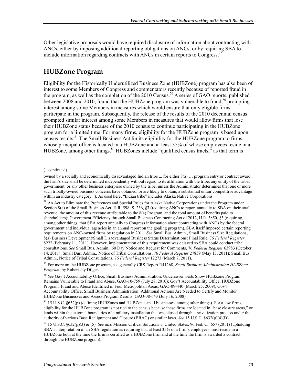Other legislative proposals would have required disclosure of information about contracting with ANCs, either by imposing additional reporting obligations on ANCs, or by requiring SBA to include information regarding contracts with ANCs in certain reports to Congress.<sup>78</sup>

#### **HUBZone Program**

Eligibility for the Historically Underutilized Business Zone (HUBZone) program has also been of interest to some Members of Congress and commentators recently because of reported fraud in the program, as well as the completion of the 2010 Census.<sup>79</sup> A series of GAO reports, published between 2008 and 2010, found that the HUBZone program was vulnerable to fraud, $80$  prompting interest among some Members in measures which would ensure that only eligible firms participate in the program. Subsequently, the release of the results of the 2010 decennial census prompted similar interest among some Members in measures that would allow firms that lose their HUBZone status because of the 2010 census to continue participating in the HUBZone program for a limited time. For many firms, eligibility for the HUBZone program is based upon census results.81 The Small Business Act limits eligibility for the HUBZone program to firms whose principal office is located in a HUBZone and at least 35% of whose employees reside in a HUBZone, among other things.  $82$  HUBZones include "qualified census tracts," as that term is

 $\overline{a}$ 

<sup>(...</sup>continued)

owned by a socially and economically disadvantaged Indian tribe ... for either 8(a) … program entry or contract award, the firm's size shall be determined independently without regard to its affiliation with the tribe, any entity of the tribal government, or any other business enterprise owned by the tribe, unless the Administrator determines that one or more such tribally-owned business concerns have obtained, or are likely to obtain, a substantial unfair competitive advantage within an industry category."). As used here, "Indian tribe" includes Alaska Native Corporations.

<sup>&</sup>lt;sup>78</sup> An Act to Eliminate the Preferences and Special Rules for Alaska Native Corporations under the Program under Section 8(a) of the Small Business Act, H.R. 598; S. 236, §7 (requiring ANCs to report annually to SBA on their total revenue, the amount of this revenue attributable to the 8(a) Program, and the total amount of benefits paid to shareholders); Government Efficiency through Small Business Contracting Act of 2012, H.R. 3850, §3 (requiring, among other things, that SBA report annually to Congress information about contracting with ANCs by the federal government and individual agencies in an annual report on the goaling program). SBA itself imposed certain reporting requirements on ANC-owned firms by regulation in 2011. *See* Small Bus. Admin., Small Business Size Regulations; 8(a) Business Development/Small Disadvantaged Business Status Determinations: Final Rule, 76 *Federal Register* 8222 (February 11, 2011). However, implementation of this requirement was delayed so SBA could conduct tribal consultations. *See* Small Bus. Admin., 60 Day Notice and Request for Comments, 76 *Federal Register* 63983 (October 14, 2011); Small Bus. Admin., Notice of Tribal Consultations, 76 *Federal Register* 27859 (May 13, 2011); Small Bus. Admin., Notice of Tribal Consultations, 76 *Federal Register* 12273 (March 7, 2011).

<sup>79</sup> For more on the HUBZone program, see generally CRS Report R41268, *Small Business Administration HUBZone Program*, by Robert Jay Dilger.

<sup>80</sup> *See* Gov't Accountability Office, Small Business Administration: Undercover Tests Show HUBZone Program Remains Vulnerable to Fraud and Abuse, GAO-10-759 (July 28, 2010); Gov't Accountability Office, HUBZone Program: Fraud and Abuse Identified in Four Metropolitan Areas, GAO-09-440 (March 25, 2009); Gov't Accountability Office, Small Business Administration: Additional Actions Are Needed to Certify and Monitor HUBZone Businesses and Assess Program Results, GAO-08-643 (July 16, 2008).

<sup>81 15</sup> U.S.C. §632(p) (defining HUBZones and HUBZone small businesses, among other things). For a few firms, eligibility for the HUBZone program is not tied to the census because these firms are located in "base closure areas," or lands within the external boundaries of a military installation that was closed through a privatization process under the authority of various Base Realignment and Closure (BRAC) or similar laws. *See* 15 U.S.C. §632(p)(4)(D).

<sup>82 15</sup> U.S.C. §632(p)(3) & (5). *See also* Mission Critical Solutions v. United States, 96 Fed. Cl. 657 (2011) (upholding SBA's interpretation of an SBA regulation as requiring that at least 35% of a firm's employees must reside in a HUBZone both at the time the firm is certified as a HUBZone firm and at the time the firm is awarded a contract through the HUBZone program).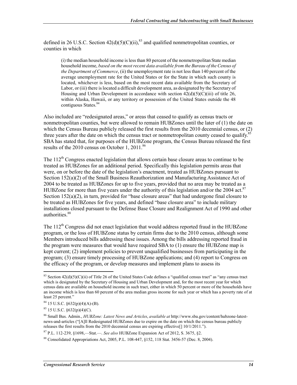defined in 26 U.S.C. Section  $42(d)(5)(C)(ii)$ ,  $83$  and qualified nonmetropolitan counties, or counties in which

(i) the median household income is less than 80 percent of the nonmetropolitan State median household income, *based on the most recent data available from the Bureau of the Census of the Department of Commerce*, (ii) the unemployment rate is not less than 140 percent of the average unemployment rate for the United States or for the State in which such county is located, whichever is less, based on the most recent data available from the Secretary of Labor, or (iii) there is located a difficult development area, as designated by the Secretary of Housing and Urban Development in accordance with section  $42(d)(5)(C)(iii)$  of title 26, within Alaska, Hawaii, or any territory or possession of the United States outside the 48 contiguous States.<sup>84</sup>

Also included are "redesignated areas," or areas that ceased to qualify as census tracts or nonmetropolitan counties, but were allowed to remain HUBZones until the later of (1) the date on which the Census Bureau publicly released the first results from the 2010 decennial census, or (2) three years after the date on which the census tract or nonmetropolitan county ceased to qualify.<sup>8</sup> SBA has stated that, for purposes of the HUBZone program, the Census Bureau released the first results of the 2010 census on October 1, 2011.<sup>86</sup>

The 112<sup>th</sup> Congress enacted legislation that allows certain base closure areas to continue to be treated as HUBZones for an additional period. Specifically this legislation permits areas that were, on or before the date of the legislation's enactment, treated as HUBZones pursuant to Section 152(a)(2) of the Small Business Reauthorization and Manufacturing Assistance Act of 2004 to be treated as HUBZones for up to five years, provided that no area may be treated as a HUBZone for more than five years under the authority of this legislation and/or the 2004 act.<sup>87</sup> Section  $152(a)(2)$ , in turn, provided for "base closure areas" that had undergone final closure to be treated as HUBZones for five years, and defined "base closure area" to include military installations closed pursuant to the Defense Base Closure and Realignment Act of 1990 and other authorities.<sup>88</sup>

The  $112<sup>th</sup>$  Congress did not enact legislation that would address reported fraud in the HUBZone program, or the loss of HUBZone status by certain firms due to the 2010 census, although some Members introduced bills addressing these issues. Among the bills addressing reported fraud in the program were measures that would have required SBA to (1) ensure the HUBZone map is kept current; (2) implement policies to prevent unqualified businesses from participating in the program; (3) ensure timely processing of HUBZone applications; and (4) report to Congress on the efficacy of the program, or develop measures and implement plans to assess its

<sup>&</sup>lt;sup>83</sup> Section  $42(d)(5)(C)(ii)$  of Title 26 of the United States Code defines a "qualified census tract" as "any census tract" which is designated by the Secretary of Housing and Urban Development and, for the most recent year for which census data are available on household income in such tract, either in which 50 percent or more of the households have an income which is less than 60 percent of the area median gross income for such year or which has a poverty rate of at least 25 percent."

 $84$  15 U.S.C.  $632(p)(4)(A) - (B)$ .

<sup>85 15</sup> U.S.C. §632(p)(4)(C).

<sup>86</sup> Small Bus. Admin., *HUBZone: Latest News and Articles*, *available at* http://www.sba.gov/content/hubzone-latestnews-and-articles ("[A]ll Redesignated HUBZones due to expire on the date on which the census bureau publicly releases the first results from the 2010 decennial census are expiring effective[] 10/1/2011.").

<sup>87</sup> P.L. 112-239, §1698,—Stat.—. *See also* HUBZone Expansion Act of 2012, S. 3675, §2.

<sup>88</sup> Consolidated Appropriations Act, 2005, P.L. 108-447, §152, 118 Stat. 3456-57 (Dec. 8, 2004).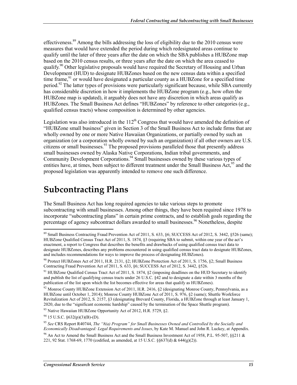effectiveness.<sup>89</sup> Among the bills addressing the loss of eligibility due to the 2010 census were measures that would have extended the period during which redesignated areas continue to qualify until the later of three years after the date on which the SBA publishes a HUBZone map based on the 2010 census results, or three years after the date on which the area ceased to qualify.90 Other legislative proposals would have required the Secretary of Housing and Urban Development (HUD) to designate HUBZones based on the new census data within a specified time frame, $91$  or would have designated a particular county as a HUBZone for a specified time period.<sup>92</sup> The latter types of provisions were particularly significant because, while SBA currently has considerable discretion in how it implements the HUBZone program (e.g., how often the HUBZone map is updated), it arguably does not have any discretion in which areas qualify as HUBZones. The Small Business Act defines "HUBZones" by reference to other categories (e.g., qualified census tracts) whose composition is determined by other agencies.

Legislation was also introduced in the  $112<sup>th</sup>$  Congress that would have amended the definition of "HUBZone small business" given in Section 3 of the Small Business Act to include firms that are wholly owned by one or more Native Hawaiian Organizations, or partially owned by such an organization (or a corporation wholly owned by such an organization) if all other owners are U.S. citizens or small businesses.<sup>93</sup> The proposed provisions paralleled those that presently address small businesses owned by Alaska Native Corporations, Indian tribal governments, and Community Development Corporations.<sup>94</sup> Small businesses owned by these various types of entities have, at times, been subject to different treatment under the Small Business Act,  $95$  and the proposed legislation was apparently intended to remove one such difference.

#### **Subcontracting Plans**

The Small Business Act has long required agencies to take various steps to promote subcontracting with small businesses. Among other things, they have been required since 1978 to incorporate "subcontracting plans" in certain prime contracts, and to establish goals regarding the percentage of agency subcontract dollars awarded to small businesses.<sup>96</sup> Nonetheless, despite

<u>.</u>

 $89$  Small Business Contracting Fraud Prevention Act of 2011, S. 633, §6; SUCCESS Act of 2012, S. 3442, §526 (same); HUBZone Qualified Census Tract Act of 2011, S. 1874, §3 (requiring SBA to submit, within one year of the act's enactment, a report to Congress that describes the benefits and drawbacks of using qualified census tract data to designate HUBZones, describes any problems encountered in using qualified census tract data to designate HUBZones, and includes recommendations for ways to improve the process of designating HUBZones).

<sup>90</sup> Protect HUBZones Act of 2011, H.R. 2131, §2; HUBZone Protection Act of 2011, S. 1756, §2; Small Business Contracting Fraud Prevention Act of 2011, S. 633, §6; SUCCESS Act of 2012, S. 3442, §526.

<sup>&</sup>lt;sup>91</sup> HUBZone Qualified Census Tract Act of 2011, S. 1874, §2 (imposing deadlines on the HUD Secretary to identify and publish the list of qualifying census tracts under 26 U.S.C. §42 and to designate a date within 3 months of the publication of the list upon which the list becomes effective for areas that qualify as HUBZones).

<sup>&</sup>lt;sup>92</sup> Monroe County HUBZone Extension Act of 2011, H.R. 2416, §2 (designating Monroe County, Pennsylvania, as a HUBZone until October 1, 2014); Monroe County HUBZone Act of 2011, S. 976, §2 (same); Shuttle Workforce Revitalization Act of 2012, S. 2157, §3 (designating Brevard County, Florida, a HUBZone through at least January 1, 2020, due to the "significant economic hardship" caused by the termination of the Space Shuttle program).  $93$  Native Hawaiian HUBZone Opportunity Act of 2012, H.R. 5729, §2.

<sup>94 15</sup> U.S.C. §632(p)(3)(B)-(D).

<sup>95</sup> *See* CRS Report R40744, *The "8(a) Program" for Small Businesses Owned and Controlled by the Socially and Economically Disadvantaged: Legal Requirements and Issues*, by Kate M. Manuel and John R. Luckey, at Appendix.

<sup>96</sup> An Act to Amend the Small Business Act and the Small Business Investment Act of 1958, P.L. 95-507, §§211 & 221, 92 Stat. 1768-69, 1770 (codified, as amended, at 15 U.S.C. §§637(d) & 644(g)(2)).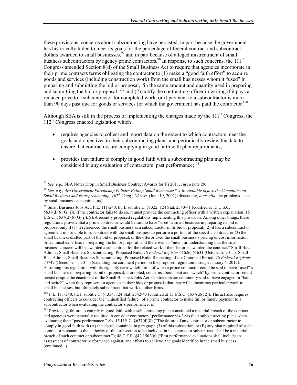these provisions, concerns about subcontracting have persisted, in part because the government has historically failed to meet its goals for the percentage of federal contract and subcontract dollars awarded to small businesses,  $97$  and in part because of alleged mistreatment of small business subcontractors by agency prime contractors.<sup>98</sup> In response to such concerns, the 111<sup>th</sup> Congress amended Section 8(d) of the Small Business Act to require that agencies incorporate in their prime contracts terms obligating the contractor to (1) make a "good faith effort" to acquire goods and services (including construction work) from the small businesses whom it "used" in preparing and submitting the bid or proposal, "in the same amount and quantity used in preparing and submitting the bid or proposal;<sup>399</sup> and (2) notify the contracting officer in writing if it pays a reduced price to a subcontractor for completed work, or if payment to a subcontractor is more than 90 days past due for goods or services for which the government has paid the contractor.<sup>100</sup>

Although SBA is still in the process of implementing the changes made by the  $111<sup>th</sup>$  Congress, the  $112<sup>th</sup>$  Congress enacted legislation which

- requires agencies to collect and report data on the extent to which contractors meet the goals and objectives in their subcontracting plans, and periodically review the data to ensure that contractors are complying in good faith with plan requirements;
- provides that failure to comply in good faith with a subcontracting plan may be considered in any evaluation of contractors' past performance;<sup>101</sup>

<sup>100</sup> P.L. 111-240, tit. I, subtitle C, §1334, 124 Stat. 2542-43 (codified at 15 U.S.C. §637(d)(12)). The act also requires contracting officers to consider the "unjustified failure" of a prime contractor to make full or timely payment to a subcontractor when evaluating the contractor's performance. *Id*.

<sup>&</sup>lt;u>.</u> <sup>97</sup> *See, e.g.*, SBA Notes Drop in Small Business Contract Awards for FY2011, *supra* note 29.

<sup>98</sup> *See, e.g.*, *Are Government Purchasing Policies Failing Small Businesses? A Roundtable before the Committee on Small Business and Entrepreneurship, 107th Cong., 2d sess.* (June 19, 2002) (discussing, *inter alia*, the problems faced by small business subcontractors).

<sup>&</sup>lt;sup>99</sup> Small Business Jobs Act, P.L. 111-240, tit. I, subtitle C, §1322, 124 Stat. 2540-41 (codified at 15 U.S.C.  $§637(d)(6)(G)(i)$ ). If the contractor fails to do so, it must provide the contracting officer with a written explanation. 15 U.S.C. §637(d)(6)(G)(i)). SBA recently proposed regulations implementing this provision. Among other things, these regulations provide that a prime contractor would be said to have "used" a small business in preparing its bid or proposal only if (1) it referenced the small business as a subcontractor in its bid or proposal; (2) it has a subcontract or agreement in principle to subcontract with the small business to perform a portion of the specific contract; or (3) the small business drafted part of the bid or proposal, or the offeror used the small business's pricing or cost information, or technical expertise, in preparing the bid or proposal, and there was an "intent or understanding that the small business concern will be awarded a subcontract for the related work if the offeror is awarded the contract." Small Bus. Admin., Small Business Subcontracting: Proposed Rule, 76 *Federal Register* 61626, 61631 (October 5, 2011); Small Bus. Admin., Small Business Subcontracting: Proposed Rule; Reopening of the Comment Period, 76 *Federal Register*  74749 (December 1, 2011) (extending the comment period on the proposed regulation through January 6, 2012). Assuming this regulation, with its arguably narrow definition of when a prime contractor could be said to have "used" a small business in preparing its bid or proposal, is adopted, concerns about "bait and switch" by prime contractors could persist despite the enactment of the Small Business Jobs Act. Contractors are commonly said to have engaged in "bait and switch" when they represent to agencies in their bids or proposals that they will subcontract particular work to small businesses, but ultimately subcontract that work to other firms.

<sup>&</sup>lt;sup>101</sup> Previously, failure to comply in good faith with a subcontracting plan constituted a material breach of the contract, and agencies were generally required to consider contractors' performance vis-à-vis their subcontracting plans when evaluating their "past performance." *See* 15 U.S.C. §637(d)(8) ("The failure of any contractor or subcontractor to comply in good faith with (A) the clause contained in paragraph (3) of this subsection, or (B) any plan required of such contractor pursuant to the authority of this subsection to be included in its contract or subcontract, shall be a material breach of such contract or subcontract."); 48 C.F.R. §42.1502(g) ("Past performance evaluations shall include an assessment of contractor performance against, and efforts to achieve, the goals identified in the small business (continued...)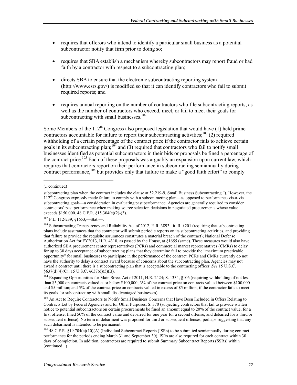- requires that offerors who intend to identify a particular small business as a potential subcontractor notify that firm prior to doing so:
- requires that SBA establish a mechanism whereby subcontractors may report fraud or bad faith by a contractor with respect to a subcontracting plan;
- directs SBA to ensure that the electronic subcontracting reporting system (http://www.esrs.gov/) is modified so that it can identify contractors who fail to submit required reports; and
- requires annual reporting on the number of contractors who file subcontracting reports, as well as the number of contractors who exceed, meet, or fail to meet their goals for subcontracting with small businesses.<sup>102</sup>

Some Members of the  $112<sup>th</sup>$  Congress also proposed legislation that would have (1) held prime contractors accountable for failure to report their subcontracting activities;<sup>103</sup> (2) required withholding of a certain percentage of the contract price if the contractor fails to achieve certain goals in its subcontracting plan;<sup>104</sup> and (3) required that contractors who fail to notify small businesses identified as potential subcontractors in their bids or proposals be fined a percentage of the contract price.<sup>105</sup> Each of these proposals was arguably an expansion upon current law, which requires that contractors report on their performance in subcontracting semiannually during contract performance,<sup>106</sup> but provides only that failure to make a "good faith effort" to comply

1

102 P.L. 112-239, §1653,—Stat.—.

<sup>(...</sup>continued)

subcontracting plan when the contract includes the clause at 52.219-9, Small Business Subcontracting."). However, the 112<sup>th</sup> Congress expressly made failure to comply with a subcontracting plan—as opposed to performance vis-à-vis subcontracting goals—a consideration in evaluating past performance. Agencies are generally required to consider contractors' past performance when making source selection decisions in negotiated procurements whose value exceeds \$150,000. 48 C.F.R. §15.304(c)(2)-(3).

<sup>&</sup>lt;sup>103</sup> Subcontracting Transparency and Reliability Act of 2012, H.R. 3893, tit. II, §201 (requiring that subcontracting plans include assurances that the contractor will submit periodic reports on its subcontracting activities, and providing that failure to provide the requisite assurances constitutes a material breach of the contract); National Defense Authorization Act for FY2013, H.R. 4310, as passed by the House, at §1655 (same). These measures would also have authorized SBA procurement center representatives (PCRs) and commercial market representatives (CMRs) to delay for up to 30 days acceptance of subcontracting plans that they determine fail to provide the "maximum practicable opportunity" for small businesses to participate in the performance of the contract. PCRs and CMRs currently do not have the authority to delay a contract award because of concerns about the subcontracting plan. Agencies may not award a contract until there is a subcontracting plan that is acceptable to the contracting officer. *See* 15 U.S.C. §637(d)(4)(C); 15 U.S.C. §637(d)(5)(B).

<sup>&</sup>lt;sup>104</sup> Expanding Opportunities for Main Street Act of 2011, H.R. 2424; S. 1334, §106 (requiring withholding of not less than \$5,000 on contracts valued at or below \$100,000; 3% of the contract price on contracts valued between \$100,000 and \$5 million; and 5% of the contract price on contracts valued in excess of \$5 million, if the contractor fails to meet its goals for subcontracting with small disadvantaged businesses).

<sup>&</sup>lt;sup>105</sup> An Act to Require Contractors to Notify Small Business Concerns that Have Been Included in Offers Relating to Contracts Let by Federal Agencies and for Other Purposes, S. 370 (subjecting contractors that fail to provide written notice to potential subcontractors on certain procurements be fined an amount equal to 20% of the contract value, for a first offense; fined 50% of the contract value and debarred for one year for a second offense; and debarred for a third or subsequent offense). No term of debarment was proposed for third or subsequent offenses, perhaps suggesting that any such debarment is intended to be permanent.

<sup>106 48</sup> C.F.R. §19.704(a)(10)(A) (Individual Subcontract Reports (ISRs) to be submitted semiannually during contract performance for the periods ending March 31 and September 30). ISRs are also required for each contract within 30 days of completion. In addition, contractors are required to submit Summary Subcontract Reports (SSRs) within (continued...)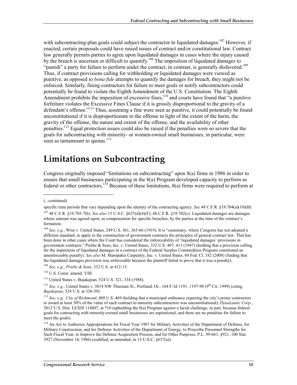with subcontracting-plan goals could subject the contractor to liquidated damages.<sup>107</sup> However, if enacted, certain proposals could have raised issues of contract and/or constitutional law. Contract law generally permits parties to agree upon liquidated damages in cases where the injury caused by the breach is uncertain or difficult to quantify.<sup>108</sup> The imposition of liquidated damages to "punish" a party for failure to perform under the contract, in contrast, is generally disfavored.<sup>109</sup> Thus, if contract provisions calling for withholding or liquidated damages were viewed as punitive, as opposed to *bona fide* attempts to quantify the damages for breach, they might not be enforced. Similarly, fining contractors for failure to meet goals or notify subcontractors could potentially be found to violate the Eighth Amendment of the U.S. Constitution. The Eighth Amendment prohibits the imposition of excessive fines,  $\frac{110}{2}$  and courts have found that "a punitive" forfeiture violates the Excessive Fines Clause if it is grossly disproportional to the gravity of a defendant's offense."<sup>111</sup> Thus, assuming a fine were seen as punitive, it could potentially be found unconstitutional if it is disproportionate to the offense in light of the extent of the harm, the gravity of the offense, the nature and extent of the offense, and the availability of other penalties.<sup>112</sup> Equal protection issues could also be raised if the penalties were so severe that the goals for subcontracting with minority- or women-owned small businesses, in particular, were seen as tantamount to quotas.<sup>113</sup>

#### **Limitations on Subcontracting**

Congress originally imposed "limitations on subcontracting" upon 8(a) firms in 1986 in order to ensure that small businesses participating in the 8(a) Program developed capacity to perform as federal or other contractors.114 Because of these limitations, 8(a) firms were required to perform at

 $\overline{a}$ 

<sup>(...</sup>continued)

specific time periods that vary depending upon the identity of the contracting agency. *See* 48 C.F.R. §19.704(a)(10)(B). 107 48 C.F.R. §19.705-7(b). *See also* 15 U.S.C. §637(d)(4)(F); 48 C.F.R. §19.702(c). Liquidated damages are damages

whose amount was agreed upon, as compensation for specific breaches, by the parties at the time of the contract's formation.

<sup>&</sup>lt;sup>108</sup> *See, e.g.*, Wise v. United States, 249 U.S. 361, 365-66 (1919). It is "customary, where Congress has not adopted a different standard, to apply to the construction of government contracts the principles of general contract law. That has been done in other cases where the Court has considered the enforceability of 'liquidated damages' provisions in government contracts." Priebe & Sons, Inc. v. United States, 332 U.S. 407, 411 (1947) (holding that a provision calling for the imposition of liquidated damages in a contract of the Federal Surplus Commodities Program constituted an unenforceable penalty). *See also* M. Maropakis Carpentry, Inc. v. United States, 84 Fed. Cl. 182 (2008) (finding that the liquidated damages provision was enforceable because the plaintiff failed to prove that it was a penalty).

<sup>109</sup> *See, e.g.*, *Priebe & Sons*, 332 U.S. at 412-13.

<sup>110</sup> U.S. Const. amend. VIII.

<sup>111</sup> United States v. Bajakajian, 524 U.S. 321, 334 (1988).

<sup>&</sup>lt;sup>112</sup> *See, e.g.*, United States v. 3814 NW Thurman St., Portland, Or., 164 F.3d 1191, 1197-98 (9<sup>th</sup> Cir. 1999) (citing *Bajakajian*, 524 U.S. at 336-39).

<sup>113</sup> *See, e.g., City of Richmond*, 488 U.S. 469 (holding that a municipal ordinance requiring the city's prime contractors to award at least 30% of the value of each contract to minority subcontractors was unconstitutional); *DynaLantic Corp.*, 2012 U.S. Dist. LEXIS 114807, at \*10 (upholding the 8(a) Program against a facial challenge, in part, because federal goals for contracting with minority-owned small businesses are aspirational, and there are no penalties for failure to meet the goals).

<sup>&</sup>lt;sup>114</sup> An Act to Authorize Appropriations for Fiscal Year 1987 for Military Activities of the Department of Defense, for Military Construction, and for Defense Activities of the Department of Energy, to Prescribe Personnel Strengths for Such Fiscal Year, to Improve the Defense Acquisition Process, and for Other Purposes, P.L. 99-661, §921, 100 Stat. 3927 (November 14, 1986) (codified, as amended, in 15 U.S.C. §637(a)).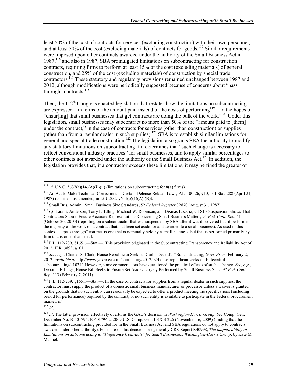least 50% of the cost of contracts for services (excluding construction) with their own personnel, and at least 50% of the cost (excluding materials) of contracts for goods.<sup>115</sup> Similar requirements were imposed upon other contracts awarded under the authority of the Small Business Act in 1987,116 and also in 1987, SBA promulgated limitations on subcontracting for construction contracts, requiring firms to perform at least 15% of the cost (excluding materials) of general construction, and 25% of the cost (excluding materials) of construction by special trade contractors.<sup>117</sup> These statutory and regulatory provisions remained unchanged between 1987 and 2012, although modifications were periodically suggested because of concerns about "pass through" contracts.<sup>118</sup>

Then, the  $112<sup>th</sup>$  Congress enacted legislation that restates how the limitations on subcontracting are expressed—in terms of the amount paid instead of the costs of performing<sup>119</sup>—in the hopes of "ensur[ing] that small businesses that get contracts are doing the bulk of the work."120 Under this legislation, small businesses may subcontract no more than 50% of the "amount paid to [them] under the contract," in the case of contracts for services (other than construction) or supplies (other than from a regular dealer in such supplies).<sup>121</sup> SBA is to establish similar limitations for general and special trade construction.<sup>122</sup> The legislation also grants SBA the authority to modify any statutory limitations on subcontracting if it determines that "such change is necessary to reflect conventional industry practices" for small businesses, and to apply similar percentages to other contracts not awarded under the authority of the Small Business Act.123 In addition, the legislation provides that, if a contractor exceeds these limitations, it may be fined the greater of

<sup>122</sup> *Id*.

<sup>&</sup>lt;sup>115</sup> 15 U.S.C. §637(a)(14)(A)(i)-(ii) (limitations on subcontracting for 8(a) firms).

<sup>116</sup> An Act to Make Technical Corrections in Certain Defense-Related Laws, P.L. 100-26, §10, 101 Stat. 288 (April 21, 1987) (codified, as amended, in 15 U.S.C. §644(o)(1)(A)-(B)).

<sup>117</sup> Small Bus. Admin., Small Business Size Standards, 52 *Federal Register* 32870 (August 31, 1987).

<sup>118</sup> *Cf*. Lars E. Anderson, Terry L. Elling, Michael W. Robinson, and Dismas Locaria, GTSI's Suspension Shows That Contractors Should Ensure Accurate Representations Concerning Small Business Matters, 94 *Fed. Cont. Rep.* 414 (October 26, 2010) (reporting on a subcontractor that was suspended by SBA after it was discovered that it performed the majority of the work on a contract that had been set aside for and awarded to a small business). As used in this context, a "pass through" contract is one that is nominally held by a small business, but that is performed primarily by a firm that is other than small.

<sup>&</sup>lt;sup>119</sup> P.L. 112-239, §1651,—Stat.—. This provision originated in the Subcontracting Transparency and Reliability Act of 2012, H.R. 3893, §101.

<sup>120</sup> *See, e.g.*, Charles S. Clark, House Republican Seeks to Curb "Deceitful" Subcontracting, *Govt. Exec.*, February 2, 2012, *available at* http://www.govexec.com/contracting/2012/02/house-republican-seeks-curb-deceitfulsubcontracting/41074/. However, some commentators have questioned the practical effects of such a change. *See, e.g.*, Deborah Billings, House Bill Seeks to Ensure Set Asides Largely Performed by Small Business Subs, 97 *Fed. Cont. Rep.* 113 (February 7, 2011).

<sup>&</sup>lt;sup>121</sup> P.L. 112-239, §1651,—Stat.—. In the case of contracts for supplies from a regular dealer in such supplies, the contractor must supply the product of a domestic small business manufacturer or processor unless a waiver is granted on the grounds that no such entity can reasonably be expected to offer a product meeting the specifications (including period for performance) required by the contract, or no such entity is available to participate in the Federal procurement market. *Id*.

<sup>123</sup> *Id*. The latter provision effectively overturns the GAO's decision in *Washington-Harris Group*. *See* Comp. Gen. December No. B-401794; B-401794.2, 2009 U.S. Comp. Gen. LEXIS 226 (November 16, 2009) (finding that the limitations on subcontracting provided for in the Small Business Act and SBA regulations do not apply to contracts awarded under other authority). For more on this decision, see generally CRS Report R40998, *The Inapplicability of Limitations on Subcontracting to "Preference Contracts" for Small Businesses: Washington-Harris Group*, by Kate M. Manuel.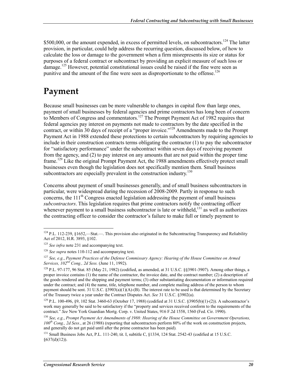\$500,000, or the amount expended, in excess of permitted levels, on subcontractors.<sup>124</sup> The latter provision, in particular, could help address the recurring question, discussed below, of how to calculate the loss or damage to the government when a firm misrepresents its size or status for purposes of a federal contract or subcontract by providing an explicit measure of such loss or damage.<sup>125</sup> However, potential constitutional issues could be raised if the fine were seen as punitive and the amount of the fine were seen as disproportionate to the offense.<sup>126</sup>

### **Payment**

Because small businesses can be more vulnerable to changes in capital flow than large ones, payment of small businesses by federal agencies and prime contractors has long been of concern to Members of Congress and commentators.<sup>127</sup> The Prompt Payment Act of 1982 requires that federal agencies pay interest on payments not made to contractors by the date specified in the contract, or within 30 days of receipt of a "proper invoice."<sup>128</sup> Amendments made to the Prompt Payment Act in 1988 extended these protections to certain subcontractors by requiring agencies to include in their construction contracts terms obligating the contractor (1) to pay the subcontractor for "satisfactory performance" under the subcontract within seven days of receiving payment from the agency, and (2) to pay interest on any amounts that are not paid within the proper time frame.<sup>129</sup> Like the original Prompt Payment Act, the 1988 amendments effectively protect small businesses even though the legislation does not specifically mention them. Small business subcontractors are especially prevalent in the construction industry.<sup>130</sup>

Concerns about payment of small businesses generally, and of small business subcontractors in particular, were widespread during the recession of 2008-2009. Partly in response to such concerns, the  $111<sup>th</sup>$  Congress enacted legislation addressing the payment of small business *subcontractors*. This legislation requires that prime contractors notify the contracting officer whenever payment to a small business subcontractor is late or withheld, $131$  as well as authorizes the contracting officer to consider the contractor's failure to make full or timely payment to

<sup>1</sup>  $124$  P.L. 112-239, §1652,—Stat.—. This provision also originated in the Subcontracting Transparency and Reliability Act of 2012, H.R. 3893, §102.

<sup>&</sup>lt;sup>125</sup> *See infra* note 231 and accompanying text.

<sup>126</sup> *See supra* notes 110-112 and accompanying text.

<sup>127</sup> *See, e.g.*, *Payment Practices of the Defense Commissary Agency: Hearing of the House Committee on Armed Services, 102nd Cong., 2d Sess.* (June 11, 1992).

<sup>&</sup>lt;sup>128</sup> P.L. 97-177, 96 Stat. 85 (May 21, 1982) (codified, as amended, at 31 U.S.C. §§3901-3907). Among other things, a proper invoice contains (1) the name of the contractor, the invoice date, and the contract number; (2) a description of the goods rendered and the shipping and payment terms; (3) other substantiating documentation or information required under the contract; and (4) the name, title, telephone number, and complete mailing address of the person to whom payment should be sent. 31 U.S.C.  $\S 3903(a)(1)(A)$ -(B). The interest rate to be used is that determined by the Secretary of the Treasury twice a year under the Contract Disputes Act. *See* 31 U.S.C. §3902(a).

<sup>129</sup> P.L. 100-496, §9, 102 Stat. 3460-63 (October 17, 1988) (codified at 31 U.S.C. §3905(b)(1)-(2)). A subcontractor's work may generally be said to be satisfactory if the "property and services received conform to the requirements of the contract." *See* New York Guardian Mortg. Corp. v. United States, 916 F.2d 1558, 1560 (Fed. Cir. 1990).

<sup>130</sup> *See, e.g.*, *Prompt Payment Act Amendments of 1988: Hearing of the House Committee on Government Operations, 100th Cong., 2d Sess.*, at 26 (1988) (reporting that subcontractors perform 80% of the work on construction projects, and generally do not get paid until after the prime contractor has been paid).

<sup>&</sup>lt;sup>131</sup> Small Business Jobs Act, P.L. 111-240, tit. I, subtitle C, §1334, 124 Stat. 2542-43 (codified at 15 U.S.C.  $§637(d)(12)$ ).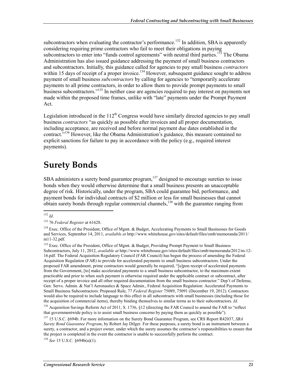subcontractors when evaluating the contractor's performance.<sup>132</sup> In addition, SBA is apparently considering requiring prime contractors who fail to meet their obligations in paying subcontractors to enter into "funds control agreements" with neutral third parties.<sup>133</sup> The Obama Administration has also issued guidance addressing the payment of small business contractors and subcontractors. Initially, this guidance called for agencies to pay small business *contractors* within 15 days of receipt of a proper invoice.<sup>134</sup> However, subsequent guidance sought to address payment of small business *subcontractors* by calling for agencies to "temporarily accelerate payments to all prime contractors, in order to allow them to provide prompt payments to small business subcontractors."<sup>135</sup> In neither case are agencies required to pay interest on payments not made within the proposed time frames, unlike with "late" payments under the Prompt Payment Act.

Legislation introduced in the  $112<sup>th</sup>$  Congress would have similarly directed agencies to pay small business *contractors* "as quickly as possible after invoices and all proper documentation, including acceptance, are received and before normal payment due dates established in the contract."136 However, like the Obama Administration's guidance, this measure contained no explicit sanctions for failure to pay in accordance with the policy (e.g., required interest payments).

### **Surety Bonds**

SBA administers a surety bond guarantee program,  $137$  designed to encourage sureties to issue bonds when they would otherwise determine that a small business presents an unacceptable degree of risk. Historically, under the program, SBA could guarantee bid, performance, and payment bonds for individual contracts of \$2 million or less for small businesses that cannot obtain surety bonds through regular commercial channels,  $138$  with the guarantee ranging from

<sup>135</sup> Exec. Office of the President, Office of Mgmt. & Budget, Providing Prompt Payment to Small Business Subcontractors, July 11, 2012, *available at* http://www.whitehouse.gov/sites/default/files/omb/memoranda/2012/m-12- 16.pdf. The Federal Acquisition Regulatory Council (FAR Council) has begun the process of amending the Federal Acquisition Regulation (FAR) to provide for accelerated payments to small business subcontractors. Under the proposed FAR amendment, prime contractors would generally be required, "[u]pon receipt of accelerated payments from the Government, [to] make accelerated payments to a small business subcontractor, to the maximum extent practicable and prior to when such payment is otherwise required under the applicable contract or subcontract, after receipt of a proper invoice and all other required documentation from the small business contractor." Dep't of Defense, Gen. Servs. Admin. & Nat'l Aeronautics & Space Admin., Federal Acquisition Regulation: Accelerated Payments to Small Business Subcontractors: Proposed Rule, 77 *Federal Register* 75089, 75091 (December 19, 2012). Contractors would also be required to include language to this effect in all subcontracts with small businesses (including those for the acquisition of commercial items), thereby binding themselves to similar terms as to their subcontractors. *Id*.

<sup>136</sup> Acquisition Savings Reform Act of 2011, S. 1736, §12 (directing the FAR Council to amend the FAR to "reflect that governmentwide policy is to assist small business concerns by paying them as quickly as possible").

137 15 U.S.C. §694b. For more information on the Surety Bond Guarantee Program, see CRS Report R42037, *SBA Surety Bond Guarantee Program*, by Robert Jay Dilger. For these purposes, a surety bond is an instrument between a surety, a contractor, and a project owner, under which the surety assumes the contractor's responsibilities to ensure that the project is completed in the event the contractor is unable to successfully perform the contract.

<sup>138</sup> *See* 15 U.S.C. §694b(a)(1).

<sup>1</sup> <sup>132</sup> *Id*.

<sup>133 76</sup> *Federal Register* at 61628.

<sup>&</sup>lt;sup>134</sup> Exec. Office of the President, Office of Mgmt. & Budget, Accelerating Payments to Small Businesses for Goods and Services, September 14, 2011, *available at* http://www.whitehouse.gov/sites/default/files/omb/memoranda/2011/ m11-32.pdf.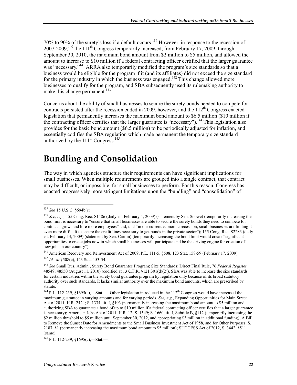70% to 90% of the surety's loss if a default occurs.139 However, in response to the recession of  $2007-2009$ , <sup>140</sup> the 111<sup>th</sup> Congress temporarily increased, from February 17, 2009, through September 30, 2010, the maximum bond amount from \$2 million to \$5 million, and allowed the amount to increase to \$10 million if a federal contracting officer certified that the larger guarantee was "necessary."<sup>141</sup> ARRA also temporarily modified the program's size standards so that a business would be eligible for the program if it (and its affiliates) did not exceed the size standard for the primary industry in which the business was engaged.<sup>142</sup> This change allowed more businesses to qualify for the program, and SBA subsequently used its rulemaking authority to make this change permanent.<sup>143</sup>

Concerns about the ability of small businesses to secure the surety bonds needed to compete for contracts persisted after the recession ended in 2009, however, and the  $112<sup>th</sup>$  Congress enacted legislation that permanently increases the maximum bond amount to \$6.5 million (\$10 million if the contracting officer certifies that the larger guarantee is "necessary").<sup>144</sup> This legislation also provides for the basic bond amount (\$6.5 million) to be periodically adjusted for inflation, and essentially codifies the SBA regulation which made permanent the temporary size standard authorized by the  $111^{th}$  Congress.<sup>145</sup>

### **Bundling and Consolidation**

The way in which agencies structure their requirements can have significant implications for small businesses. When multiple requirements are grouped into a single contract, that contract may be difficult, or impossible, for small businesses to perform. For this reason, Congress has enacted progressively more stringent limitations upon the "bundling" and "consolidation" of

<sup>139</sup> *See* 15 U.S.C. §694b(c).

<sup>140</sup> *See, e.g.,* 155 Cong. Rec. S1486 (daily ed. February 4, 2009) (statement by Sen. Snowe) (temporarily increasing the bond limit is necessary to "ensure that small businesses are able to secure the surety bonds they need to compete for contracts, grow, and hire more employees" and, that "in our current economic recession, small businesses are finding it even more difficult to secure the credit lines necessary to get bonds in the private sector"); 155 Cong. Rec. S2283 (daily ed. February 13, 2009) (statement by Sen. Cardin) (temporarily increasing the bond limit would create "significant opportunities to create jobs now in which small businesses will participate and be the driving engine for creation of new jobs in our country").

<sup>141</sup> American Recovery and Reinvestment Act of 2009, P.L. 111-5, §508, 123 Stat. 158-59 (February 17, 2009).

<sup>142</sup> *Id., at* §508(c), 123 Stat. 153-54.

<sup>143</sup> *See* Small Bus. Admin., Surety Bond Guarantee Program; Size Standards: Direct Final Rule, 76 *Federal Register* 48549, 48550 (August 11, 2010) (codified at 13 C.F.R. §121.301(d)(2)). SBA was able to increase the size standards for certain industries within the surety bond guarantee program by regulation only because of its broad statutory authority over such standards. It lacks similar authority over the maximum bond amounts, which are prescribed by statute.

<sup>&</sup>lt;sup>144</sup> P.L. 112-239, §1695(a),—Stat.—. Other legislation introduced in the 112<sup>th</sup> Congress would have increased the maximum guarantee in varying amounts and for varying periods. *See, e.g.*, Expanding Opportunities for Main Street Act of 2011, H.R. 2424; S. 1334, tit. I, §103 (permanently increasing the maximum bond amount to \$5 million and authorizing SBA to guarantee a bond of up to \$10 million if a federal contracting officer certifies that a larger guarantee is necessary); American Jobs Act of 2011, H.R. 12; S. 1549; S. 1660, tit. I, Subtitle B, §112 (temporarily increasing the \$2 million threshold to \$5 million until September 30, 2012, and appropriating \$3 million in additional funding); A Bill to Remove the Sunset Date for Amendments to the Small Business Investment Act of 1958, and for Other Purposes, S. 2187, §1 (permanently increasing the maximum bond amount to \$5 million); SUCCESS Act of 2012, S. 3442, §511 (same).

<sup>145</sup> P.L. 112-239, §1695(c),—Stat.—.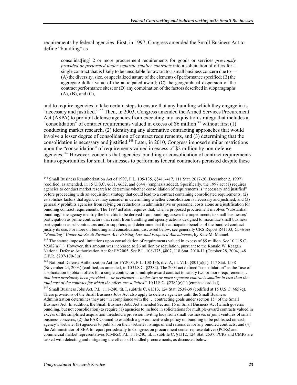requirements by federal agencies. First, in 1997, Congress amended the Small Business Act to define "bundling" as

consolidat[ing] 2 or more procurement requirements for goods or services *previously provided or performed under separate smaller contracts* into a solicitation of offers for a single contract that is likely to be unsuitable for award to a small business concern due to— (A) the diversity, size, or specialized nature of the elements of performance specified; (B) the aggregate dollar value of the anticipated award; (C) the geographical dispersion of the contract performance sites; or (D) any combination of the factors described in subparagraphs (A), (B), and (C),

and to require agencies to take certain steps to ensure that any bundling which they engage in is "necessary and justified."146 Then, in 2003, Congress amended the Armed Services Procurement Act (ASPA) to prohibit defense agencies from executing any acquisition strategy that includes a "consolidation" of contract requirements valued in excess of \$6 million<sup>147</sup> without first (1) conducting market research, (2) identifying any alternative contracting approaches that would involve a lesser degree of consolidation of contract requirements, and (3) determining that the consolidation is necessary and justified.<sup>148</sup> Later, in 2010, Congress imposed similar restrictions upon the "consolidation" of requirements valued in excess of \$2 million by non-defense agencies.<sup>149</sup> However, concerns that agencies' bundling or consolidation of contract requirements limits opportunities for small businesses to perform as federal contractors persisted despite these

<sup>146</sup> Small Business Reauthorization Act of 1997, P.L. 105-135, §§411-417, 111 Stat. 2617-20 (December 2, 1997) (codified, as amended, in 15 U.S.C. §631, §632, and §644) (emphasis added). Specifically, the 1997 act (1) requires agencies to conduct market research to determine whether consolidation of requirements is "necessary and justified" before proceeding with an acquisition strategy that could lead to a contract containing consolidated requirements; (2) establishes factors that agencies may consider in determining whether consolidation is necessary and justified; and (3) generally prohibits agencies from relying on reductions in administrative or personnel costs alone as a justification for bundling contract requirements. The 1997 act also requires that, when a proposed procurement involves "substantial bundling," the agency identify the benefits to be derived from bundling; assess the impediments to small businesses' participation as prime contractors that result from bundling and specify actions designed to maximize small business participation as subcontractors and/or suppliers; and determine that the anticipated benefits of the bundled contract justify its use. For more on bundling and consolidation, discussed below, see generally CRS Report R41133, *Contract "Bundling" Under the Small Business Act: Existing Law and Proposed Amendments*, by Kate M. Manuel.

<sup>147</sup> The statute imposed limitations upon consolidation of requirements valued in excess of \$5 million. *See* 10 U.S.C. §2382(a)(1). However, this amount was increased to \$6 million by regulation, pursuant to the Ronald W. Reagan National Defense Authorization Act for FY2005. *See* P.L. 108-375, §807, 118 Stat. 2010-11 (October 28, 2004); 48 C.F.R. §207-170-3(a).

<sup>148</sup> National Defense Authorization Act for FY2004, P.L. 108-136, div. A, tit. VIII, §801(a)(1), 117 Stat. 1538 (November 24, 2003) (codified, as amended, in 10 U.S.C. §2382). The 2004 act defined "consolidation" as the "use of a solicitation to obtain offers for a single contract or a multiple award contract to satisfy two or more requirements … *that have previously been provided … or performed … under two or more separate contracts smaller in cost than the total cost of the contract for which the offers are solicited.*" 10 U.S.C. §2382(c)(1) (emphasis added).

<sup>149</sup> Small Business Jobs Act, P.L. 111-240, tit. I, subtitle C, §1313, 124 Stat. 2538-39 (codified at 15 U.S.C. §657q). These provisions of the Small Business Jobs Act also apply to defense agencies until the Small Business Administration determines they are "in compliance with the … contracting goals under section 15" of the Small Business Act. In addition, the Small Business Jobs Act amended Section 15 of Small Business Act (which governs bundling, but not consolidation) to require (1) agencies to include in solicitations for multiple-award contracts valued in excess of the simplified acquisition threshold a provision inviting bids from small businesses or joint ventures of small business concerns; (2) the FAR Council to establish a government-wide policy on bundling to be published on each agency's website; (3) agencies to publish on their websites listings of and rationales for any bundled contracts; and (4) the Administrator of SBA to report periodically to Congress on procurement center representatives (PCRs) and commercial market representatives (CMRs). P.L. 111-240, tit. I, subtitle C, §1312, 124 Stat. 2537. PCRs and CMRs are tasked with detecting and mitigating the effects of bundled procurements, as discussed below.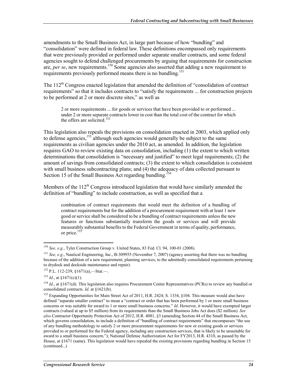amendments to the Small Business Act, in large part because of how "bundling" and "consolidation" were defined in federal law. These definitions encompassed only requirements that were previously provided or performed under separate smaller contracts, and some federal agencies sought to defend challenged procurements by arguing that requirements for construction are, *per se*, new requirements.150 Some agencies also asserted that adding a new requirement to requirements previously performed means there is no bundling.151

The 112<sup>th</sup> Congress enacted legislation that amended the definition of "consolidation of contract" requirements" so that it includes contracts to "satisfy the requirements ... for construction projects to be performed at 2 or more discrete sites," as well as

2 or more requirements ... for goods or services that have been provided to or performed ... under 2 or more separate contracts lower in cost than the total cost of the contract for which the offers are solicited.<sup>152</sup>

This legislation also repeals the provisions on consolidation enacted in 2003, which applied only to defense agencies,<sup>153</sup> although such agencies would generally be subject to the same requirements as civilian agencies under the 2010 act, as amended. In addition, the legislation requires GAO to review existing data on consolidation, including (1) the extent to which written determinations that consolidation is "necessary and justified" to meet legal requirements; (2) the amount of savings from consolidated contracts; (3) the extent to which consolidation is consistent with small business subcontracting plans; and (4) the adequacy of data collected pursuant to Section 15 of the Small Business Act regarding bundling.<sup>154</sup>

Members of the  $112<sup>th</sup>$  Congress introduced legislation that would have similarly amended the definition of "bundling" to include construction, as well as specified that a

combination of contract requirements that would meet the definition of a bundling of contract requirements but for the addition of a procurement requirement with at least 1 new good or service shall be considered to be a bundling of contract requirements unless the new features or functions substantially transform the goods or services and will provide measurably substantial benefits to the Federal Government in terms of quality, performance, or price.<sup>155</sup>

<sup>150</sup> *See, e.g.*, Tyler Construction Group v. United States, 83 Fed. Cl. 94, 100-01 (2008).

<sup>151</sup> *See, e.g.*, Nautical Engineering, Inc., B-309955 (November 7, 2007) (agency asserting that there was no bundling because of the addition of a new requirement, planning services, to the admittedly consolidated requirements pertaining to drydock and dockside maintenance and repair).

 $152$  P.L. 112-239, §1671(a),—Stat.—.

<sup>153</sup> *Id*., at §1671(c)(1).

<sup>&</sup>lt;sup>154</sup> *Id.*, at §1671(d). This legislation also requires Procurement Center Representatives (PCRs) to review any bundled or consolidated contracts. *Id*. at §1621(b).

<sup>&</sup>lt;sup>155</sup> Expanding Opportunities for Main Street Act of 2011, H.R. 2424; S. 1334, §104. This measure would also have defined "separate smaller contract" to mean a "contract or order that has been performed by 1 or more small business concerns or was suitable for award to 1 or more small business concerns." *Id*. However, it would have exempted larger contracts (valued at up to \$5 million) from its requirements than the Small Business Jobs Act does (\$2 million). *See also* Contractor Opportunity Protection Act of 2012, H.R. 4081, §3 (amending Section 44 of the Small Business Act, which governs consolidation, to include a definition of "bundling of contract requirements" that encompasses "the use of any bundling methodology to satisfy 2 or more procurement requirements for new or existing goods or services provided to or performed for the Federal agency, including any construction services, that is likely to be unsuitable for award to a small business concern."); National Defense Authorization Act for FY2013, H.R. 4310, as passed by the House, at §1671 (same). This legislation would have repealed the existing provisions regarding bundling in Section 15 (continued...)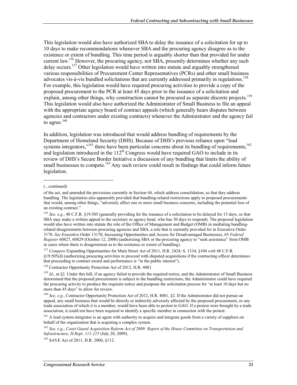This legislation would also have authorized SBA to delay the issuance of a solicitation for up to 10 days to make recommendations whenever SBA and the procuring agency disagree as to the existence or extent of bundling. This time period is arguably shorter than that provided for under current law.<sup>156</sup> However, the procuring agency, not SBA, presently determines whether any such delay occurs.<sup>157</sup> Other legislation would have written into statute and arguably strengthened various responsibilities of Procurement Center Representatives (PCRs) and other small business advocates vis-à-vis bundled solicitations that are currently addressed primarily in regulations.<sup>158</sup> For example, this legislation would have required procuring activities to provide a copy of the proposed procurement to the PCR at least 45 days prior to the issuance of a solicitation and explain, among other things, why construction cannot be procured as separate discrete projects.<sup>159</sup> This legislation would also have authorized the Administrator of Small Business to file an appeal with the appropriate agency board of contract appeals (which generally hears disputes between agencies and contractors under existing contracts) whenever the Administrator and the agency fail to agree. $160$ 

In addition, legislation was introduced that would address bundling of requirements by the Department of Homeland Security (DHS). Because of DHS's previous reliance upon "lead systems integrators,"<sup>161</sup> there have been particular concerns about its bundling of requirements,<sup>162</sup> and legislation introduced in the  $112<sup>th</sup>$  Congress would have required GAO to include in its review of DHS's Secure Border Initiative a discussion of any bundling that limits the ability of small businesses to compete.<sup>163</sup> Any such review could result in findings that could inform future legislation.

 $\overline{a}$ 

<sup>157</sup> *Compare* Expanding Opportunities for Main Street Act of 2011, H.R. 2424; S. 1334, §104 *with* 48 C.F.R. §19.505(d) (authorizing procuring activities to proceed with disputed acquisitions if the contracting officer determines that proceeding to contract award and performance is "in the public interest").

<sup>(...</sup>continued)

of the act, and amended the provisions currently in Section 44, which address consolidation, so that they address bundling. The legislation also apparently provided that bundling-related restrictions apply to proposed procurements that would, among other things, "adversely affect one or more small business concerns, including the potential loss of an existing contract."

<sup>&</sup>lt;sup>156</sup> See, e.g., 48 C.F.R. §19.505 (generally providing for the issuance of a solicitation to be delayed for 15 days, so that SBA may make a written appeal to the secretary or agency head, who has 30 days to respond). The proposed legislation would also have written into statute the role of the Office of Management and Budget (OMB) in mediating bundlingrelated disagreements between procuring agencies and SBA, a role that is currently provided for in Executive Order 3170. *See* Executive Order 13170, Increasing Opportunities and Access for Disadvantaged Businesses, 65 *Federal Register* 60827, 60829 (October 12, 2000) (authorizing SBA or the procuring agency to "seek assistance" from OMB in cases where there is disagreement as to the existence or extent of bundling).

<sup>158</sup> Contractor Opportunity Protection Act of 2012, H.R. 4081.

<sup>&</sup>lt;sup>159</sup> *Id.*, at §2. Under this bill, if an agency failed to provide the required notice, and the Administrator of Small Business determined that the proposed procurement is subject to the bundling restrictions, the Administrator could have required the procuring activity to produce the requisite notice and postpone the solicitation process for "at least 10 days but no more than 45 days" to allow for review.

<sup>&</sup>lt;sup>160</sup> *See, e.g.*, Contractor Opportunity Protection Act of 2012, H.R. 4081, §2. If the Administrator did not pursue an appeal, any small business that would be directly or indirectly adversely affected by the proposed procurement, or any trade association of which it is a member, would have been able to protest to GAO. If a protest were brought by a trade association, it could not have been required to identify a specific member in connection with the protest.

<sup>&</sup>lt;sup>161</sup> A lead system integrator is an agent with authority to acquire and integrate goods from a variety of suppliers on behalf of the organization that is acquiring a complex system.

<sup>162</sup> *See, e.g.*, *Coast Guard Acquisition Reform Act of 2009: Report of the House Committee on Transportation and Infrastructure, H.Rept. 111-215* (July 20, 2009).

<sup>163</sup> SAVE Act of 2011, H.R. 2000, §112.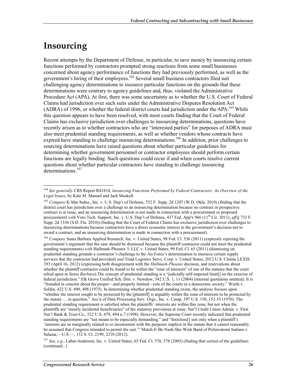## **Insourcing**

1

Recent attempts by the Department of Defense, in particular, to save money by insourcing certain functions performed by contractors prompted strong reactions from some small businesses concerned about agency performance of functions they had previously performed, as well as the government's hiring of their employees.<sup>164</sup> Several small business contractors filed suit challenging agency determinations to insource particular functions on the grounds that these determinations were contrary to agency guidelines and, thus, violated the Administrative Procedure Act (APA). At first, there was some uncertainty as to whether the U.S. Court of Federal Claims had jurisdiction over such suits under the Administrative Disputes Resolution Act (ADRA) of 1996, or whether the federal district courts had jurisdiction under the APA.<sup>165</sup> While this question appears to have been resolved, with most courts finding that the Court of Federal Claims has exclusive jurisdiction over challenges to insourcing determinations, questions have recently arisen as to whether contractors who are "interested parties" for purposes of ADRA must also meet prudential standing requirements, as well as whether vendors whose contracts have expired have standing to challenge insourcing determinations.<sup>166</sup> In addition, prior challenges to sourcing determinations have raised questions about whether particular guidelines for determining whether government personnel or contractor employees should perform certain functions are legally binding. Such questions could recur if and when courts resolve current questions about whether particular contractors have standing to challenge insourcing determinations.<sup>167</sup>

<sup>164</sup> *See generally* CRS Report R41810, *Insourcing Functions Performed by Federal Contractors: An Overview of the Legal Issues*, by Kate M. Manuel and Jack Maskell.

<sup>165</sup> *Compare* K-Mar Indus., Inc. v. U.S. Dep't of Defense, 752 F. Supp. 2d 1207 (W.D. Okla. 2010) (finding that the district court has jurisdiction over a challenge to an insourcing determination because no contract or prospective contract is at issue, and an insourcing determination is not made in connection with a procurement or proposed procurement) *with* Vero Tech. Support, Inc. v. U.S. Dep't of Defense, 437 Fed. App'x 966 (11th Cir. 2011), *aff'g* 733 F. Supp. 2d 1336 (S.D. Fla. 2010)) (finding that the Court of Federal Claims has exclusive jurisdiction over challenges to insourcing determinations because contractors have a direct economic interest in the government's decision not to award a contract, and an insourcing determination is made in connection with a procurement).

<sup>&</sup>lt;sup>166</sup> Compare Santa Barbara Applied Research, Inc. v. United States, 98 Fed. Cl. 536 (2011) (expressly rejecting the government's argument that the case should be dismissed because the plaintiff contractor could not meet the prudential standing requirements) *with* Hallmark-Phoenix 3, LLC v. United States, 99 Fed. Cl. 65 (2011) (dismissing on prudential standing grounds a contractor's challenge to the Air Force's determination to insource certain supply services that the contractor had provided) *and* Triad Logistics Servs. Corp. v. United States, 2012 U.S. Claims LEXIS 393 (April 16, 2012) (expressing both disagreement with the *Hallmark-Phoenix* decision, and reservations about whether the plaintiff contractor could be found to be within the "zone of interests" of one of the statutes that the court relied upon in *Santa Barbara*).The concept of prudential standing is a "judicially self-imposed limit[] on the exercise of federal jurisdiction." Elk Grove Unified Sch. Dist. v. Newdow, 542 U.S. 1, 11 (2004) (internal quotations omitted). It is "founded in concern about the proper—and properly limited—role of the courts in a democratic society." Warth v. Seldin, 422 U.S. 490, 498 (1975). In determining whether prudential standing exists, the analysis focuses upon "whether the interest sought to be protected by the [plaintiff] is arguably within the zone of interests to be protected by the statute … in question." Ass'n of Data Processing Serv. Orgs., Inc. v. Camp, 397 U.S. 150, 152-53 (1970). The prudential standing requirement is satisfied when the plaintiffs' interests are within this zone, but not when the plaintiffs are "merely incidental beneficiaries" of the statutory provisions at issue. Nat'l Credit Union Admin. v. First Nat'l Bank & Trust Co., 522 U.S. 479, 494 n.7 (1998). However, the Supreme Court recently indicated that prudential standing requirements are "not meant to be especially demanding," and "foreclose[] suit only when a plaintiff's 'interests are so marginally related to or inconsistent with the purposes implicit in the statute that it cannot reasonably be assumed that Congress intended to permit the suit.'" Match-E-Be-Nash-She-Wish Band of Pottawatomi Indians v. Salazar,—U.S.—, 132 S. Ct. 2199, 2210 (2012).

<sup>167</sup> *See, e.g.*, Labat-Anderson, Inc. v. United States, 65 Fed. Cl. 570, 578 (2005) (finding that certain of the guidelines (continued...)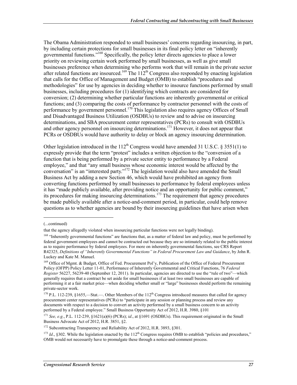The Obama Administration responded to small businesses' concerns regarding insourcing, in part, by including certain protections for small businesses in its final policy letter on "inherently governmental functions."168 Specifically, the policy letter directs agencies to place a lower priority on reviewing certain work performed by small businesses, as well as give small businesses preference when determining who performs work that will remain in the private sector after related functions are insourced.<sup>169</sup> The  $112<sup>th</sup>$  Congress also responded by enacting legislation that calls for the Office of Management and Budget (OMB) to establish "procedures and methodologies" for use by agencies in deciding whether to insource functions performed by small businesses, including procedures for (1) identifying which contracts are considered for conversion; (2) determining whether particular functions are inherently governmental or critical functions; and (3) comparing the costs of performance by contractor personnel with the costs of performance by government personnel.<sup>170</sup> This legislation also requires agency Offices of Small and Disadvantaged Business Utilization (OSDBUs) to review and to advise on insourcing determinations, and SBA procurement center representatives (PCRs) to consult with OSDBUs and other agency personnel on insourcing determinations.<sup>171</sup> However, it does not appear that PCRs or OSDBUs would have authority to delay or block an agency insourcing determination.

Other legislation introduced in the  $112^{th}$  Congress would have amended 31 U.S.C. § 3551(1) to expressly provide that the term "protest" includes a written objection to the "conversion of a function that is being performed by a private sector entity to performance by a Federal employee," and that "any small business whose economic interest would be affected by the conversation" is an "interested party."172 The legislation would also have amended the Small Business Act by adding a new Section 46, which would have prohibited an agency from converting functions performed by small businesses to performance by federal employees unless it has "made publicly available, after providing notice and an opportunity for public comment," its procedures for making insourcing determinations.<sup>173</sup> The requirement that agency procedures be made publicly available after a notice-and-comment period, in particular, could help remove questions as to whether agencies are bound by their insourcing guidelines that have arisen when

<sup>(...</sup>continued)

that the agency allegedly violated when insourcing particular functions were not legally binding).

<sup>&</sup>lt;sup>168</sup> "Inherently governmental functions" are functions that, as a matter of federal law and policy, must be performed by federal government employees and cannot be contracted out because they are so intimately related to the public interest as to require performance by federal employees. For more on inherently governmental functions, see CRS Report R42325, *Definitions of "Inherently Governmental Functions" in Federal Procurement Law and Guidance*, by John R. Luckey and Kate M. Manuel.

<sup>&</sup>lt;sup>169</sup> Office of Mgmt. & Budget, Office of Fed. Procurement Pol'y, Publication of the Office of Federal Procurement Policy (OFPP) Policy Letter 11-01, Performance of Inherently Governmental and Critical Functions, 76 *Federal Register* 56227, 56239-40 (September 12, 2011). In particular, agencies are directed to use the "rule of two"—which generally requires that a contract be set aside for small businesses if at least two small businesses are capable of performing it at a fair market price—when deciding whether small or "large" businesses should perform the remaining private-sector work.

<sup>&</sup>lt;sup>170</sup> P.L. 112-239, §1655,—Stat.—. Other Members of the 112<sup>th</sup> Congress introduced measures that called for agency procurement center representatives (PCRs) to "participate in any session or planning process and review any documents with respect to a decision to convert an activity performed by a small business concern to an activity performed by a Federal employee." Small Business Opportunity Act of 2012, H.R. 3980, §101

<sup>&</sup>lt;sup>171</sup> *See, e.g.*, P.L. 112-239, §1621(a)(6) (PCRs); *id.*, at §1691 (OSDBUs). This requirement originated in the Small Business Advocate Act of 2012, H.R. 3851, §2.

<sup>&</sup>lt;sup>172</sup> Subcontracting Transparency and Reliability Act of 2012, H.R. 3893, §301.

<sup>&</sup>lt;sup>173</sup> *Id.*, §302. While the legislation enacted by the  $112^{th}$  Congress requires OMB to establish "policies and procedures." OMB would not necessarily have to promulgate these through a notice-and-comment process.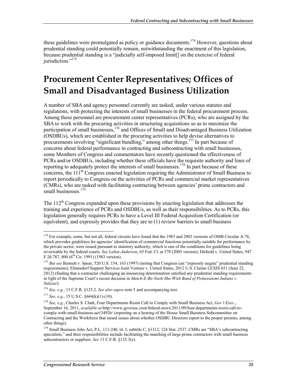these guidelines were promulgated as policy or guidance documents.<sup>174</sup> However, questions about prudential standing could potentially remain, notwithstanding the enactment of this legislation, because prudential standing is a "judicially self-imposed limit[] on the exercise of federal jurisdiction."<sup>175</sup>

## **Procurement Center Representatives; Offices of Small and Disadvantaged Business Utilization**

A number of SBA and agency personnel currently are tasked, under various statutes and regulations, with protecting the interests of small businesses in the federal procurement process. Among these personnel are procurement center representatives (PCRs), who are assigned by the SBA to work with the procuring activities in structuring acquisitions so as to maximize the participation of small businesses,<sup>176</sup> and Offices of Small and Disadvantaged Business Utilization (OSDBUs), which are established in the procuring activities to help devise alternatives to procurements involving "significant bundling," among other things.<sup>177</sup> In part because of concerns about federal performance in contracting and subcontracting with small businesses, some Members of Congress and commentators have recently questioned the effectiveness of PCRs and/or OSDBUs, including whether these officials have the requisite authority and lines of reporting to adequately protect the interests of small businesses.<sup>178</sup> In part because of these concerns, the  $11\bar{1}^{th}$  Congress enacted legislation requiring the Administrator of Small Business to report periodically to Congress on the activities of PCRs and commercial market representatives (CMRs), who are tasked with facilitating contracting between agencies' prime contractors and small businesses.<sup>179</sup>

The  $112<sup>th</sup>$  Congress expanded upon these provisions by enacting legislation that addresses the training and experience of PCRs and OSDBUs, as well as their responsibilities. As to PCRs, this legislation generally requires PCRs to have a Level III Federal Acquisition Certification (or equivalent), and expressly provides that they are to (1) review barriers to small business

<sup>1</sup>  $174$  For example, some, but not all, federal circuits have found that the 1983 and 2003 versions of OMB Circular A-76, which provides guidelines for agencies' identification of commercial functions potentially suitable for performance by the private sector, were issued pursuant to statutory authority, which is one of the conditions for guidelines being reviewable by the federal courts. *See Labat-Anderson*, 65 Fed. Cl. at 578 (2003 version); Diebold v. United States, 947 F.2d 787, 800 ( $6^{th}$  Cir. 1991) (1983 version).

<sup>&</sup>lt;sup>175</sup> *But see* Bennett v. Spear, 520 U.S. 154, 163 (1997) (noting that Congress can "expressly negate" prudential standing requirements); Elmendorf Support Services Joint Venture v. United States, 2012 U.S. Claims LEXIS 651 (June 22, 2012) (finding that a contractor challenging an insourcing determination satisfied any prudential standing requirements in light of the Supreme Court's recent decision in *Match-E-Be-Nash-She-Wish Band of Pottawatomi Indians v. Salazar*).

<sup>176</sup> *See, e.g.*, 13 C.F.R. §125.2. *See also supra* note 5 and accompanying text.

<sup>177</sup> *See, e.g.*, 15 U.S.C. §644(k)(1)-(10).

<sup>178</sup> *See, e.g.*, Charles S. Clark, Four Departments Resist Call to Comply with Small Business Act, *Gov't Exec.*, September 16, 2011, *available at* http://www.govexec.com/federal-news/2011/09/four-departments-resist-call-tocomply-with-small-business-act/34926/ (reporting on a hearing of the House Small Business Subcommittee on Contracting and the Workforce that raised issues about whether OSDBU Directors report to the proper persons, among other things).

<sup>&</sup>lt;sup>179</sup> Small Business Jobs Act, P.L. 111-240, tit. I, subtitle C, §1312, 124 Stat. 2537. CMRs are "SBA's subcontracting specialists," and their responsibilities include facilitating the matching of large prime contractors with small business subcontractors or suppliers. *See* 13 C.F.R. §125.3(e).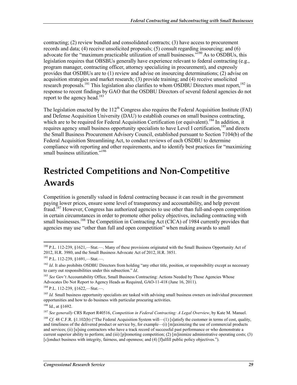contracting; (2) review bundled and consolidated contracts; (3) have access to procurement records and data; (4) receive unsolicited proposals; (5) consult regarding insourcing; and (6) advocate for the "maximum practicable utilization of small businesses."<sup>180</sup> As to OSDBUs, this legislation requires that OBSBUs generally have experience relevant to federal contracting (e.g., program manager, contracting officer, attorney specializing in procurement), and expressly provides that OSDBUs are to (1) review and advise on insourcing determinations; (2) advise on acquisition strategies and market research; (3) provide training; and (4) receive unsolicited research proposals.<sup>181</sup> This legislation also clarifies to whom OSDBU Directors must report, <sup>182</sup> in response to recent findings by GAO that the OSDBU Directors of several federal agencies do not report to the agency head.<sup>183</sup>

The legislation enacted by the  $112<sup>th</sup>$  Congress also requires the Federal Acquisition Institute (FAI) and Defense Acquisition University (DAU) to establish courses on small business contracting, which are to be required for Federal Acquisition Certification (or equivalent).<sup>184</sup> In addition, it requires agency small business opportunity specialists to have Level I certification, <sup>185</sup> and directs the Small Business Procurement Advisory Council, established pursuant to Section 7104(b) of the Federal Acquisition Streamlining Act, to conduct reviews of each OSDBU to determine compliance with reporting and other requirements, and to identify best practices for "maximizing small business utilization."<sup>186</sup>

# **Restricted Competitions and Non-Competitive Awards**

Competition is generally valued in federal contracting because it can result in the government paying lower prices, ensure some level of transparency and accountability, and help prevent  $\int$ fraud.<sup>187</sup> However, Congress has authorized agencies to use other than full-and-open competition in certain circumstances in order to promote other policy objectives, including contracting with small businesses.<sup>188</sup> The Competition in Contracting Act (CICA) of 1984 currently provides that agencies may use "other than full and open competition" when making awards to small

<sup>&</sup>lt;sup>180</sup> P.L. 112-239, §1621,—Stat.—. Many of these provisions originated with the Small Business Opportunity Act of 2012, H.R. 3980, and the Small Business Advocate Act of 2012, H.R. 3851.

<sup>181</sup> P.L. 112-239, §1691,—Stat.—.

<sup>&</sup>lt;sup>182</sup> *Id.* It also prohibits OSDBU Directors from holding "any other title, position, or responsibility except as necessary to carry out responsibilities under this subsection." *Id*.

<sup>183</sup> *See* Gov't Accountability Office, Small Business Contracting: Actions Needed by Those Agencies Whose Advocates Do Not Report to Agency Heads as Required, GAO-11-418 (June 16, 2011).

<sup>184</sup> P.L. 112-239, §1622,—Stat.—.

<sup>&</sup>lt;sup>185</sup> *Id.* Small business opportunity specialists are tasked with advising small business owners on individual procurement opportunities and how to do business with particular procuring activities.

 $186$  Id., at  $$1692$ .

<sup>187</sup> *See generally* CRS Report R40516, *Competition in Federal Contracting: A Legal Overview*, by Kate M. Manuel.

<sup>&</sup>lt;sup>188</sup> *Cf.* 48 C.F.R. §1.102(b) ("The Federal Acquisition System will—(1) [s]atisfy the customer in terms of cost, quality, and timeliness of the delivered product or service by, for example—(i) [m]aximizing the use of commercial products and services; (ii) [u]sing contractors who have a track record of successful past performance or who demonstrate a current superior ability to perform; and (iii) [p]romoting competition; (2) [m]inimize administrative operating costs; (3) [c]onduct business with integrity, fairness, and openness; and (4) [f]ulfill public policy objectives.").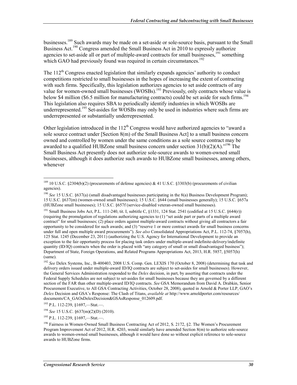businesses.<sup>189</sup> Such awards may be made on a set-aside or sole-source basis, pursuant to the Small Business Act.<sup>190</sup> Congress amended the Small Business Act in 2010 to expressly authorize agencies to set-aside all or part of multiple-award contracts for small businesses,<sup>191</sup> something which GAO had previously found was required in certain circumstances.<sup>192</sup>

The  $112^{th}$  Congress enacted legislation that similarly expands agencies' authority to conduct competitions restricted to small businesses in the hopes of increasing the extent of contracting with such firms. Specifically, this legislation authorizes agencies to set aside contracts of any value for women-owned small businesses (WOSBs).<sup>193</sup> Previously, only contracts whose value is below \$4 million (\$6.5 million for manufacturing contracts) could be set aside for such firms.<sup>194</sup> This legislation also requires SBA to periodically identify industries in which WOSBs are underrepresented.<sup>195</sup> Set-asides for WOSBs may only be used in industries where such firms are underrepresented or substantially underrepresented.

Other legislation introduced in the  $112<sup>th</sup>$  Congress would have authorized agencies to "award a sole source contract under [Section 8(m) of the Small Business Act] to a small business concern owned and controlled by women under the same conditions as a sole source contract may be awarded to a qualified HUBZone small business concern under section  $31(b)(2)(A)$ .<sup>"196</sup> The Small Business Act presently does not authorize sole-source awards to women-owned small businesses, although it does authorize such awards to HUBZone small businesses, among others, whenever

 $189$  10 U.S.C. §2304(b)(2) (procurements of defense agencies) & 41 U.S.C. §3303(b) (procurements of civilian agencies).

<sup>&</sup>lt;sup>190</sup> *See* 15 U.S.C. §637(a) (small disadvantaged businesses participating in the 8(a) Business Development Program); 15 U.S.C. §637(m) (women-owned small businesses); 15 U.S.C. §644 (small businesses generally); 15 U.S.C. §657a (HUBZone small businesses); 15 U.S.C. §657f (service-disabled veteran-owned small businesses).

<sup>&</sup>lt;sup>191</sup> Small Business Jobs Act, P.L. 111-240, tit. I, subtitle C, §1331, 124 Stat. 2541 (codified at 15 U.S.C. §644(r)) (requiring the promulgation of regulations authorizing agencies to (1) "set aside part or parts of a multiple award contract" for small businesses; (2) place orders against multiple-award contracts without giving all contractors a fair opportunity to be considered for such awards; and (3) "reserve 1 or more contract awards for small business concerns under full and open multiple award procurements"). *See also* Consolidated Appropriations Act, P.L. 112-74, §7057(h), 125 Stat. 1245 (December 23, 2011) (authorizing the U.S. Agency for International Development to provide an exception to the fair opportunity process for placing task orders under multiple-award indefinite-delivery/indefinite quantity (ID/IQ) contracts when the order is placed with "any category of small or small disadvantaged business"); Department of State, Foreign Operations, and Related Programs Appropriations Act, 2013, H.R. 5857, §5057(h) (same).

<sup>192</sup> *See* Delex Systems, Inc., B-400403, 2008 U.S. Comp. Gen. LEXIS 170 (October 8, 2008) (determining that task and delivery orders issued under multiple-award ID/IQ contracts are subject to set-asides for small businesses). However, the General Services Administration responded to the *Delex* decision, in part, by asserting that contracts under the Federal Supply Schedules are not subject to set-asides for small businesses because they are governed by a different section of the FAR than other multiple-award ID/IQ contracts. *See* GSA Memorandum from David A. Drabkin, Senior Procurement Executive, to All GSA Contracting Activities, October 28, 2008), quoted in Arnold & Porter LLP, GAO's *Delex* Decision and GSA's Response: The Clash of Titans, *available at* http://www.arnoldporter.com/resources/ documents/CA\_GAOsDelexDecision&GSAsResponse\_012609.pdf.

<sup>193</sup> P.L. 112-239, §1697,—Stat.—.

<sup>194</sup> *See* 15 U.S.C. §637(m)(2)(D) (2010).

<sup>195</sup> P.L. 112-239, §1697,—Stat.—.

<sup>&</sup>lt;sup>196</sup> Fairness in Women-Owned Small Business Contracting Act of 2012, S. 2172, §2. The Women's Procurement Program Improvement Act of 2012, H.R. 4203, would similarly have amended Section 8(m) to authorize sole-source awards to women-owned small businesses, although it would have done so without explicit reference to sole-source awards to HUBZone firms.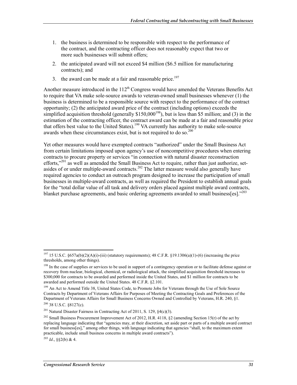- 1. the business is determined to be responsible with respect to the performance of the contract, and the contracting officer does not reasonably expect that two or more such businesses will submit offers;
- 2. the anticipated award will not exceed \$4 million (\$6.5 million for manufacturing contracts); and
- 3. the award can be made at a fair and reasonable price.<sup>197</sup>

Another measure introduced in the  $112<sup>th</sup>$  Congress would have amended the Veterans Benefits Act to require that VA make sole-source awards to veteran-owned small businesses whenever (1) the business is determined to be a responsible source with respect to the performance of the contract opportunity; (2) the anticipated award price of the contract (including options) exceeds the simplified acquisition threshold (generally  $$150,000^{198}$ ), but is less than \$5 million; and (3) in the estimation of the contracting officer, the contract award can be made at a fair and reasonable price that offers best value to the United States).199 VA currently has authority to make sole-source awards when these circumstances exist, but is not required to do so.<sup>200</sup>

Yet other measures would have exempted contracts "authorized" under the Small Business Act from certain limitations imposed upon agency's use of noncompetitive procedures when entering contracts to procure property or services "in connection with natural disaster reconstruction efforts,"<sup>201</sup> as well as amended the Small Business Act to require, rather than just authorize, setasides of or under multiple-award contracts.<sup>202</sup> The latter measure would also generally have required agencies to conduct an outreach program designed to increase the participation of small businesses in multiple-award contracts, as well as required the President to establish annual goals for the "total dollar value of all task and delivery orders placed against multiple award contracts, blanket purchase agreements, and basic ordering agreements awarded to small business[es]."<sup>203</sup>

 $^{203}$  *Id.*, §§2(b) & 4.

<u>.</u>

<sup>&</sup>lt;sup>197</sup> 15 U.S.C. §657a(b)(2)(A)(i)-(iii) (statutory requirements); 48 C.F.R. §19.1306(a)(1)-(6) (increasing the price thresholds, among other things).

<sup>&</sup>lt;sup>198</sup> In the case of supplies or services to be used in support of a contingency operation or to facilitate defense against or recovery from nuclear, biological, chemical, or radiological attack, the simplified acquisition threshold increases to \$300,000 for contracts to be awarded and performed inside the United States, and \$1 million for contracts to be awarded and performed outside the United States. 48 C.F.R. §2.101.

<sup>&</sup>lt;sup>199</sup> An Act to Amend Title 38, United States Code, to Promote Jobs for Veterans through the Use of Sole Source Contracts by Department of Veterans Affairs for Purposes of Meeting the Contracting Goals and Preferences of the Department of Veterans Affairs for Small Business Concerns Owned and Controlled by Veterans, H.R. 240, §1.  $200$  38 U.S.C.  $8127(c)$ .

<sup>&</sup>lt;sup>201</sup> Natural Disaster Fairness in Contracting Act of 2011, S. 129,  $\S4(c)(3)$ .

<sup>&</sup>lt;sup>202</sup> Small Business Procurement Improvement Act of 2012, H.R. 4118, §2 (amending Section 15(r) of the act by replacing language indicating that "agencies may, at their discretion, set aside part or parts of a multiple award contract for small business[es]," among other things, with language indicating that agencies "shall, to the maximum extent practicable, include small business concerns in multiple award contracts").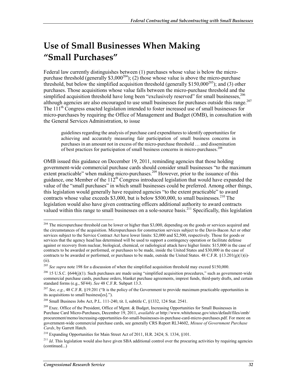# **Use of Small Businesses When Making "Small Purchases"**

Federal law currently distinguishes between (1) purchases whose value is below the micropurchase threshold (generally \$3,000<sup>204</sup>); (2) those whose value is above the micro-purchase threshold, but below the simplified acquisition threshold (generally  $$150,000^{205}$ ); and (3) other purchases. Those acquisitions whose value falls between the micro-purchase threshold and the simplified acquisition threshold have long been "exclusively reserved" for small businesses,<sup>206</sup> although agencies are also encouraged to use small businesses for purchases outside this range.<sup>207</sup> The 111<sup>th</sup> Congress enacted legislation intended to foster increased use of small businesses for micro-purchases by requiring the Office of Management and Budget (OMB), in consultation with the General Services Administration, to issue

guidelines regarding the analysis of purchase card expenditures to identify opportunities for achieving and accurately measuring fair participation of small business concerns in purchases in an amount not in excess of the micro-purchase threshold … and dissemination of best practices for participation of small business concerns in micro-purchases.<sup>208</sup>

OMB issued this guidance on December 19, 2011, reminding agencies that those holding government-wide commercial purchase cards should consider small businesses "to the maximum extent practicable" when making micro-purchases.<sup>209</sup> However, prior to the issuance of this guidance, one Member of the  $112<sup>th</sup>$  Congress introduced legislation that would have expanded the value of the "small purchases" in which small businesses could be preferred. Among other things, this legislation would generally have required agencies "to the extent practicable" to award contracts whose value exceeds \$3,000, but is below \$500,000, to small businesses.<sup>210</sup> The legislation would also have given contracting officers additional authority to award contracts valued within this range to small businesses on a sole-source basis.<sup>211</sup> Specifically, this legislation

<sup>1</sup>  $204$  The micropurchase threshold can be lower or higher than \$3,000, depending on the goods or services acquired and the circumstances of the acquisition. Micropurchases for construction services subject to the Davis-Bacon Act or other services subject to the Service Contract Act have lower limits: \$2,000 and \$2,500, respectively. Those for goods or services that the agency head has determined will be used to support a contingency operation or facilitate defense against or recovery from nuclear, biological, chemical, or radiological attack have higher limits: \$15,000 in the case of contracts to be awarded or performed, or purchases to be made, inside the United States and \$30,000 in the case of contracts to be awarded or performed, or purchases to be made, outside the United States.  $48 \text{ C.F.R.}$   $(13.201(g)(1)(i)-$ (ii).

<sup>&</sup>lt;sup>205</sup> See supra note 198 for a discussion of when the simplified acquisition threshold may exceed \$150,000.

<sup>&</sup>lt;sup>206</sup> 15 U.S.C. §644(j)(1). Such purchases are made using "simplified acquisition procedures," such as government-wide commercial purchase cards, purchase orders, blanket purchase agreements, imprest funds, third-party drafts, and certain standard forms (e.g., SF44). *See* 48 C.F.R. Subpart 13.3.

<sup>207</sup> *See, e.g.*, 48 C.F.R. §19.201 ("It is the policy of the Government to provide maximum practicable opportunities in its acquisitions to small business[es].").

<sup>208</sup> Small Business Jobs Act, P.L. 111-240, tit. I, subtitle C, §1332, 124 Stat. 2541.

<sup>&</sup>lt;sup>209</sup> Exec. Office of the President, Office of Mgmt. & Budget, Increasing Opportunities for Small Businesses in Purchase Card Micro-Purchases, December 19, 2011, *available at* http://www.whitehouse.gov/sites/default/files/omb/ procurement/memo/increasing-opportunities-for-small-businesses-in-purchase-card-micro-purchases.pdf. For more on government-wide commercial purchase cards, see generally CRS Report RL34602, *Misuse of Government Purchase Cards*, by Garrett Hatch.

<sup>&</sup>lt;sup>210</sup> Expanding Opportunities for Main Street Act of 2011, H.R. 2424; S. 1334, §101.

 $^{211}$  *Id*. This legislation would also have given SBA additional control over the procuring activities by requiring agencies (continued...)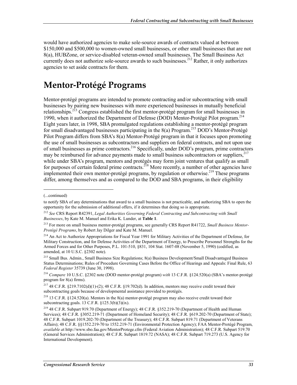would have authorized agencies to make sole-source awards of contracts valued at between \$150,000 and \$500,000 to women-owned small businesses, or other small businesses that are not 8(a), HUBZone, or service-disabled veteran-owned small businesses. The Small Business Act currently does not authorize sole-source awards to such businesses.<sup>212</sup> Rather, it only authorizes agencies to set aside contracts for them.

#### **Mentor-Protégé Programs**

Mentor-protégé programs are intended to promote contracting and/or subcontracting with small businesses by pairing new businesses with more experienced businesses in mutually beneficial relationships.<sup>213</sup> Congress established the first mentor-protégé program for small businesses in 1990, when it authorized the Department of Defense (DOD) Mentor-Protégé Pilot program.214 Eight years later, in 1998, SBA promulgated regulations establishing a mentor-protégé program for small disadvantaged businesses participating in the  $8(a)$  Program.<sup>215</sup> DOD's Mentor-Protégé Pilot Program differs from SBA's 8(a) Mentor-Protégé program in that it focuses upon promoting the use of small businesses as subcontractors and suppliers on federal contracts, and not upon use of small businesses as prime contractors.<sup>216</sup> Specifically, under DOD's program, prime contractors may be reimbursed for advance payments made to small business subcontractors or suppliers,<sup>217</sup> while under SBA's program, mentors and protégés may form joint ventures that qualify as small for purposes of certain federal prime contracts.<sup>218</sup> More recently, a number of other agencies have implemented their own mentor-protégé programs, by regulation or otherwise.<sup>219</sup> These programs differ, among themselves and as compared to the DOD and SBA programs, in their eligibility

<sup>(...</sup>continued)

to notify SBA of any determinations that award to a small business is not practicable, and authorizing SBA to open the opportunity for the submission of additional offers, if it determines that doing so is appropriate.

<sup>212</sup> *See* CRS Report R42391, *Legal Authorities Governing Federal Contracting and Subcontracting with Small Businesses*, by Kate M. Manuel and Erika K. Lunder, at **Table 1**.

<sup>213</sup> For more on small business mentor-protégé programs, see generally CRS Report R41722, *Small Business Mentor-Protégé Programs*, by Robert Jay Dilger and Kate M. Manuel.

<sup>&</sup>lt;sup>214</sup> An Act to Authorize Appropriations for Fiscal Year 1991 for Military Activities of the Department of Defense, for Military Construction, and for Defense Activities of the Department of Energy, to Prescribe Personnel Strengths for the Armed Forces and for Other Purposes, P.L. 101-510, §831, 104 Stat. 1607-08 (November 5, 1990) (codified, as amended, at 10 U.S.C. §2302 note).

<sup>215</sup> Small Bus. Admin., Small Business Size Regulations; 8(a) Business Development/Small Disadvantaged Business Status Determinations; Rules of Procedure Governing Cases Before the Office of Hearings and Appeals: Final Rule, 63 *Federal Register* 35739 (June 30, 1998).

<sup>216</sup> *Compare* 10 U.S.C. §2302 note (DOD mentor-protégé program) *with* 13 C.F.R. §124.520(a) (SBA's mentor-protégé program for 8(a) firms).

<sup>217 48</sup> C.F.R. §219.7102(d)(1)-(2); 48 C.F.R. §19.702(d). In addition, mentors may receive credit toward their subcontracting goals because of developmental assistance provided to protégés.

<sup>218 13</sup> C.F.R. §124.520(a). Mentors in the 8(a) mentor-protégé program may also receive credit toward their subcontracting goals. 13 C.F.R.  $\S$ 125.3(b)(3)(ix).

<sup>&</sup>lt;sup>219</sup> 48 C.F.R. Subpart 919.70 (Department of Energy); 48 C.F.R. §352.219-70 (Department of Health and Human Services); 48 C.F.R. §3052.219-71 (Department of Homeland Security); 48 C.F.R. §619.202-70 (Department of State); 48 C.F.R. Subpart 1019.202-70 (Department of the Treasury); 48 C.F.R. Subpart 819.71 (Department of Veterans Affairs); 48 C.F.R. §§1552.219-70 to 1552.219-71 (Environmental Protection Agency); FAA Mentor-Protégé Program, *available a*t http://www.sbo.faa.gov/MentorProtege.cfm (Federal Aviation Administration); 48 C.F.R. Subpart 519.70 (General Services Administration); 48 C.F.R. Subpart 1819.72 (NASA); 48 C.F.R. Subpart 719.273 (U.S. Agency for International Development).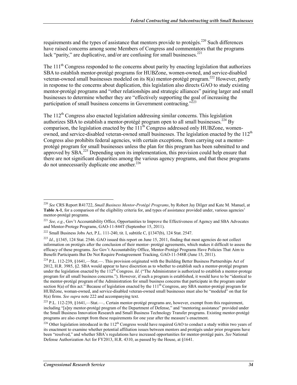requirements and the types of assistance that mentors provide to protégés.<sup>220</sup> Such differences have raised concerns among some Members of Congress and commentators that the programs lack "parity," are duplicative, and/or are confusing for small businesses.<sup>221</sup>

The 111<sup>th</sup> Congress responded to the concerns about parity by enacting legislation that authorizes SBA to establish mentor-protégé programs for HUBZone, women-owned, and service-disabled veteran-owned small businesses modeled on its  $8(a)$  mentor-protégé program.<sup>222</sup> However, partly in response to the concerns about duplication, this legislation also directs GAO to study existing mentor-protégé programs and "other relationships and strategic alliances" pairing larger and small businesses to determine whether they are "effectively supporting the goal of increasing the participation of small business concerns in Government contracting.<sup> $22$ 3</sup>

The  $112<sup>th</sup>$  Congress also enacted legislation addressing similar concerns. This legislation authorizes SBA to establish a mentor-protégé program open to all small businesses.<sup>224</sup> By comparison, the legislation enacted by the  $\tilde{111}$ <sup>th</sup> Congress addressed only HUBZone, womenowned, and service-disabled veteran-owned small businesses. The legislation enacted by the 112<sup>th</sup> Congress also prohibits federal agencies, with certain exceptions, from carrying out a mentorprotégé program for small businesses unless the plan for this program has been submitted to and approved by  $SBA$ <sup>225</sup> Depending upon its implementation, this provision could help ensure that there are not significant disparities among the various agency programs, and that these programs do not unnecessarily duplicate one another.<sup>226</sup>

<sup>1</sup> <sup>220</sup> *See* CRS Report R41722, *Small Business Mentor-Protégé Programs*, by Robert Jay Dilger and Kate M. Manuel, at **Table A-1**, for a comparison of the eligibility criteria for, and types of assistance provided under, various agencies' mentor-protégé programs.

<sup>&</sup>lt;sup>221</sup> See, e.g., Gov't Accountability Office, Opportunities to Improve the Effectiveness of Agency and SBA Advocates and Mentor-Protege Programs, GAO-11-844T (September 15, 2011).

<sup>&</sup>lt;sup>222</sup> Small Business Jobs Act, P.L. 111-240, tit. I, subtitle C,  $\S$ 1347(b), 124 Stat. 2547.

<sup>&</sup>lt;sup>223</sup> *Id.*, §1345, 124 Stat. 2546. GAO issued this report on June 15, 2011, finding that most agencies do not collect information on protégés after the conclusion of their mentor- protégé agreements, which makes it difficult to assess the efficacy of these programs. *See* Gov't Accountability Office, Mentor-Protégé Programs Have Policies That Aim to Benefit Participants But Do Not Require Postagreement Tracking, GAO-11-548R (June 15, 2011).

<sup>&</sup>lt;sup>224</sup> P.L. 112-239, §1641,—Stat.—. This provision originated with the Building Better Business Partnerships Act of 2012, H.R. 3985, §2. SBA would appear to have discretion as to whether to establish such a mentor-protégé program under the legislation enacted by the 112<sup>th</sup> Congress. *Id.* ("The Administrator is authorized to establish a mentor-protege program for all small business concerns."). However, if such a program is established, it would have to be "identical to the mentor-protégé program of the Administration for small business concerns that participate in the program under section  $8(a)$  of this act." Because of legislation enacted by the  $111<sup>th</sup>$  Congress, any SBA mentor-protégé program for HUBZone, woman-owned, and service-disabled veteran-owned small businesses must also be "modeled" on that for 8(a) firms. *See supra* note 222 and accompanying text.

<sup>225</sup> P.L. 112-239, §1641,—Stat.—.. Certain mentor-protégé programs are, however, exempt from this requirement, including "[a]ny mentor-protégé program of the Department of Defense," and "mentoring assistance" provided under the Small Business Innovation Research and Small Business Technology Transfer programs. Existing mentor-protégé programs are also exempt from these requirements for one year after the measure's enactment.

<sup>&</sup>lt;sup>226</sup> Other legislation introduced in the  $112^{th}$  Congress would have required GAO to conduct a study within two years of its enactment to examine whether potential affiliation issues between mentors and protégés under prior programs have been "resolved," and whether SBA's regulations have increased opportunities for mentor-protégé pairs. *See* National Defense Authorization Act for FY2013, H.R. 4310, as passed by the House, at §1641.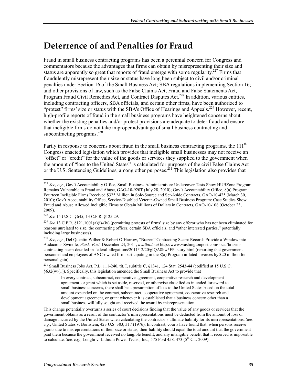### **Deterrence of and Penalties for Fraud**

Fraud in small business contracting programs has been a perennial concern for Congress and commentators because the advantages that firms can obtain by misrepresenting their size and status are apparently so great that reports of fraud emerge with some regularity.<sup>227</sup> Firms that fraudulently misrepresent their size or status have long been subject to civil and/or criminal penalties under Section 16 of the Small Business Act; SBA regulations implementing Section 16; and other provisions of law, such as the False Claims Act, Fraud and False Statements Act, Program Fraud Civil Remedies Act, and Contract Disputes Act.<sup>228</sup> In addition, various entities, including contracting officers, SBA officials, and certain other firms, have been authorized to "protest" firms' size or status with the SBA's Office of Hearings and Appeals.<sup>229</sup> However, recent, high-profile reports of fraud in the small business programs have heightened concerns about whether the existing penalties and/or protest provisions are adequate to deter fraud and ensure that ineligible firms do not take improper advantage of small business contracting and subcontracting programs. $^{230}$ 

Partly in response to concerns about fraud in the small business contracting programs, the  $111<sup>th</sup>$ Congress enacted legislation which provides that ineligible small businesses may not receive an "offset" or "credit" for the value of the goods or services they supplied to the government when the amount of "loss to the United States" is calculated for purposes of the civil False Claims Act or the U.S. Sentencing Guidelines, among other purposes.<sup>231</sup> This legislation also provides that

This change potentially overturns a series of court decisions finding that the value of any goods or services that the government obtains as a result of the contractor's misrepresentations must be deducted from the amount of loss or damage incurred by the United States when calculating the contractor's ultimate liability for its misrepresentations. *See, e.g.*, United States v. Bornstein, 423 U.S. 303, 317 (1976). In contrast, courts have found that, when persons receive grants due to misrepresentations of their size or status, their liability should equal the total amount that the government paid them because the government received no tangible benefit, and any intangible benefit that it received is impossible to calculate. *See, e.g.*, Longhi v. Lithium Power Techs., Inc., 575 F.3d 458, 473 (5<sup>th</sup> Cir. 2009).

<sup>1</sup> <sup>227</sup> *See, e.g.*, Gov't Accountability Office, Small Business Administration: Undercover Tests Show HUBZone Program Remains Vulnerable to Fraud and Abuse, GAO-10-920T (July 28, 2010); Gov't Accountability Office, 8(a) Program: Fourteen Ineligible Firms Received \$325 Million in Sole-Source and Set-Aside Contracts, GAO-10-425 (March 30, 2010); Gov't Accountability Office, Service-Disabled Veteran-Owned Small Business Program: Case Studies Show Fraud and Abuse Allowed Ineligible Firms to Obtain Millions of Dollars in Contracts, GAO-10-108 (October 23, 2009).

<sup>228</sup> *See* 15 U.S.C. §645; 13 C.F.R. §125.29.

<sup>229</sup> *See* 13 C.F.R. §121.1001(a)(i)-(iv) (permitting protests of firms' size by any offeror who has not been eliminated for reasons unrelated to size, the contracting officer, certain SBA officials, and "other interested parties," potentially including large businesses).

<sup>230</sup> *See, e.g.*, Del Quentin Wilber & Robert O'Harrow, "Brazen" Contracting Scam: Records Provide a Window into Audacious Swindle, *Wash. Post*, December 24, 2011, *available at* http://www.washingtonpost.com/local/brazencontracting-scam-detailed-in-federal-allegations/2011/12/20/gIQA8hw5FP\_story.html (reporting that government personnel and employees of ANC-owned firm participating in the 8(a) Program inflated invoices by \$20 million for personal gain).

 $^{231}$  Small Business Jobs Act, P.L. 111-240, tit. I, subtitle C, §1341, 124 Stat. 2543-44 (codified at 15 U.S.C.  $§632(w)(1)$ ). Specifically, this legislation amended the Small Business Act to provide that

In every contract, subcontract, cooperative agreement, cooperative research and development agreement, or grant which is set aside, reserved, or otherwise classified as intended for award to small business concerns, there shall be a presumption of loss to the United States based on the total amount expended on the contract, subcontract, cooperative agreement, cooperative research and development agreement, or grant whenever it is established that a business concern other than a small business willfully sought and received the award by misrepresentation.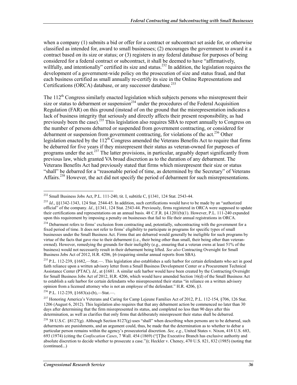when a company (1) submits a bid or offer for a contract or subcontract set aside for, or otherwise classified as intended for, award to small businesses; (2) encourages the government to award it a contract based on its size or status; or (3) registers in any federal database for purposes of being considered for a federal contract or subcontract, it shall be deemed to have "affirmatively, willfully, and intentionally" certified its size and status.<sup>232</sup> In addition, the legislation requires the development of a government-wide policy on the prosecution of size and status fraud, and that each business certified as small annually re-certify its size in the Online Representations and Certifications (ORCA) database, or any successor database.<sup>233</sup>

The 112<sup>th</sup> Congress similarly enacted legislation which subjects persons who misrepresent their size or status to debarment or suspension<sup>234</sup> under the procedures of the Federal Acquisition Regulation (FAR) on this ground (instead of on the ground that the misrepresentation indicates a lack of business integrity that seriously and directly affects their present responsibility, as had previously been the case).<sup>235</sup> This legislation also requires SBA to report annually to Congress on the number of persons debarred or suspended from government contracting, or considered for debarment or suspension from government contracting, for violations of the act.<sup>236</sup> Other legislation enacted by the  $112<sup>th</sup>$  Congress amended the Veterans Benefits Act to require that firms be debarred for five years if they misrepresent their status as veteran-owned for purposes of programs under the act.<sup>237</sup> The latter provisions, in particular, arguably depart significantly from previous law, which granted VA broad discretion as to the duration of any debarment. The Veterans Benefits Act had previously stated that firms which misrepresent their size or status "shall" be debarred for a "reasonable period of time, as determined by the Secretary" of Veterans Affairs.<sup>238</sup> However, the act did not specify the period of debarment for such misrepresentations.

<sup>&</sup>lt;sup>232</sup> Small Business Jobs Act, P.L. 111-240, tit. I, subtitle C, §1341, 124 Stat. 2543-44.

<sup>233</sup> *Id*., §§1342-1343, 124 Stat. 2544-45. In addition, such certifications would have to be made by an "authorized official" of the company. *Id*., §1341, 124 Stat. 2543-44. Previously, firms registered in ORCA were supposed to update their certifications and representations on an annual basis. 48 C.F.R. §4.1201(b)(1). However, P.L. 111-240 expanded upon this requirement by imposing a penalty on businesses that fail to file their annual registrations in ORCA.

<sup>&</sup>lt;sup>234</sup> Debarment refers to firms' exclusion from contracting and, potentially, subcontracting with the government for a fixed period of time. It does not refer to firms' eligibility to participate in programs for specific types of small businesses under the Small Business Act. Firms that are debarred would generally be ineligible for such programs by virtue of the facts that gave rise to their debarment (i.e., their being other than small, their being other than veteranowned). However, remedying the grounds for their ineligibly (e.g., ensuring that a veteran owns at least 51% of the business) would not necessarily result in their debarment being lifted. *See also* Contracting Oversight for Small Business Jobs Act of 2012, H.R. 4206, §6 (requiring similar annual reports from SBA).

 $235$  P.L. 112-239, §1682,—Stat.—. This legislation also establishes a safe harbor for certain defendants who act in good faith reliance upon a written advisory letter from a Small Business Development Center or a Procurement Technical Assistance Center (PTAC). *Id*., at §1681. A similar safe harbor would have been created by the Contracting Oversight for Small Business Jobs Act of 2012, H.R. 4206, which would have amended Section 16(d) of the Small Business Act to establish a safe harbor for certain defendants who misrepresented their status "in reliance on a written advisory opinion from a licensed attorney who is not an employee of the defendant." H.R. 4206, §3.

<sup>236</sup> P.L. 112-239, §1683(a)-(b),—Stat.—.

<sup>&</sup>lt;sup>237</sup> Honoring America's Veterans and Caring for Camp Lejeune Families Act of 2012, P.L. 112-154, §706, 126 Stat. 1206 (August 6, 2012). This legislation also requires that that any debarment action be commenced no later than 30 days after determining that the firm misrepresented its status, and completed no less than 90 days after this determination, as well as clarifies that only firms that deliberately misrepresent their status shall be debarred.

<sup>&</sup>lt;sup>238</sup> 38 U.S.C. §8127(g). Although Section 8127(g) uses "shall" when describing when persons are to be debarred, such debarments are punishments, and an argument could, thus, be made that the determination as to whether to debar a particular person remains within the agency's prosecutorial discretion. *See, e.g.*, United States v. Nixon, 418 U.S. 683, 693 (1974) (citing the *Confiscation Cases*, 7 Wall. 454 (1869) ("[T]he Executive Branch has exclusive authority and absolute discretion to decide whether to prosecute a case.")); Heckler v. Cheney, 470 U.S. 821, 832 (1985) (noting that (continued...)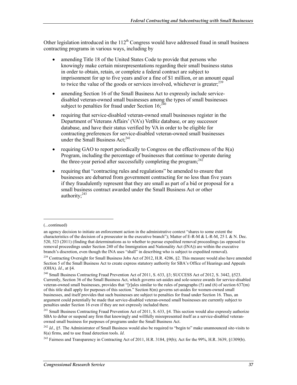Other legislation introduced in the  $112<sup>th</sup>$  Congress would have addressed fraud in small business contracting programs in various ways, including by

- amending Title 18 of the United States Code to provide that persons who knowingly make certain misrepresentations regarding their small business status in order to obtain, retain, or complete a federal contract are subject to imprisonment for up to five years and/or a fine of \$1 million, or an amount equal to twice the value of the goods or services involved, whichever is greater;<sup>239</sup>
- amending Section 16 of the Small Business Act to expressly include servicedisabled veteran-owned small businesses among the types of small businesses subject to penalties for fraud under Section  $16$ :  $240$
- requiring that service-disabled veteran-owned small businesses register in the Department of Veterans Affairs' (VA's) VetBiz database, or any successor database, and have their status verified by VA in order to be eligible for contracting preferences for service-disabled veteran-owned small businesses under the Small Business  $Act:^{241}$
- requiring GAO to report periodically to Congress on the effectiveness of the  $8(a)$ Program, including the percentage of businesses that continue to operate during the three-year period after successfully completing the program; $^{242}$
- requiring that "contracting rules and regulations" be amended to ensure that businesses are debarred from government contracting for no less than five years if they fraudulently represent that they are small as part of a bid or proposal for a small business contract awarded under the Small Business Act or other authority;<sup>243</sup>

<sup>(...</sup>continued)

an agency decision to initiate an enforcement action in the administrative context "shares to some extent the characteristics of the decision of a prosecutor in the executive branch"); Matter of E-R-M & L-R-M, 25 I. & N. Dec. 520, 523 (2011) (finding that determinations as to whether to pursue expedited removal proceedings (as opposed to removal proceedings under Section 240 of the Immigration and Nationality Act (INA)) are within the executive branch's discretion, even though the INA uses "shall" in describing who is subject to expedited removal).

<sup>&</sup>lt;sup>239</sup> Contracting Oversight for Small Business Jobs Act of 2012, H.R. 4206, §2. This measure would also have amended Section 5 of the Small Business Act to create express statutory authority for SBA's Office of Hearings and Appeals (OHA). *Id*., at §4.

<sup>&</sup>lt;sup>240</sup> Small Business Contracting Fraud Prevention Act of 2011, S. 633, §3; SUCCESS Act of 2012, S. 3442, §523. Currently, Section 36 of the Small Business Act, which governs set-asides and sole-source awards for service-disabled veteran-owned small businesses, provides that "[r]ules similar to the rules of paragraphs (5) and (6) of section 637(m) of this title shall apply for purposes of this section." Section 8(m) governs set-asides for women-owned small businesses, and itself provides that such businesses are subject to penalties for fraud under Section 16. Thus, an argument could potentially be made that service-disabled veteran-owned small businesses are currently subject to penalties under Section 16 even if they are not expressly included there.

 $^{241}$  Small Business Contracting Fraud Prevention Act of 2011, S. 633, §4. This section would also expressly authorize SBA to debar or suspend any firm that knowingly and willfully misrepresented itself as a service-disabled veteranowned small business for purposes of programs under the Small Business Act.

<sup>&</sup>lt;sup>242</sup> *Id.*, §5. The Administrator of Small Business would also be required to "begin to" make unannounced site-visits to 8(a) firms, and to use fraud detection tools. *Id*.

<sup>&</sup>lt;sup>243</sup> Fairness and Transparency in Contracting Act of 2011, H.R. 3184, §9(b); Act for the 99%, H.R. 3639, §1309(b).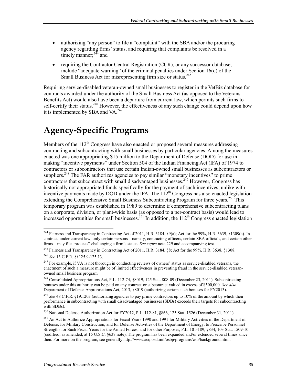- authorizing "any person" to file a "complaint" with the SBA and/or the procuring agency regarding firms' status, and requiring that complaints be resolved in a timely manner: $2\frac{4}{4}$  and
- requiring the Contractor Central Registration (CCR), or any successor database, include "adequate warning" of the criminal penalties under Section 16(d) of the Small Business Act for misrepresenting firm size or status.<sup>245</sup>

Requiring service-disabled veteran-owned small businesses to register in the VetBiz database for contracts awarded under the authority of the Small Business Act (as opposed to the Veterans Benefits Act) would also have been a departure from current law, which permits such firms to self-certify their status.<sup>246</sup> However, the effectiveness of any such change could depend upon how it is implemented by SBA and VA. $247$ 

# **Agency-Specific Programs**

Members of the  $112<sup>th</sup>$  Congress have also enacted or proposed several measures addressing contracting and subcontracting with small businesses by particular agencies. Among the measures enacted was one appropriating \$15 million to the Department of Defense (DOD) for use in making "incentive payments" under Section 504 of the Indian Financing Act (IFA) of 1974 to contractors or subcontractors that use certain Indian-owned small businesses as subcontractors or suppliers.<sup>248</sup> The FAR authorizes agencies to pay similar "monetary incentives" to prime contractors that subcontract with small disadvantaged businesses.<sup>249</sup> However, Congress has historically not appropriated funds specifically for the payment of such incentives, unlike with incentive payments made by DOD under the IFA. The  $112<sup>th</sup>$  Congress has also enacted legislation extending the Comprehensive Small Business Subcontracting Program for three years.<sup>250</sup> This temporary program was established in 1989 to determine if comprehensive subcontracting plans on a corporate, division, or plant-wide basis (as opposed to a per-contract basis) would lead to increased opportunities for small businesses.<sup>251</sup> In addition, the  $112<sup>th</sup>$  Congress enacted legislation

<sup>1</sup> <sup>244</sup> Fairness and Transparency in Contracting Act of 2011, H.R. 3184, §9(a); Act for the 99%, H.R. 3639, §1309(a). In contrast, under current law, only certain persons—namely, contracting officers, certain SBA officials, and certain other firms—may file "protests" challenging a firm's status. *See supra* note 229 and accompanying text.

<sup>&</sup>lt;sup>245</sup> Fairness and Transparency in Contracting Act of 2011, H.R. 3184, §8; Act for the 99%, H.R. 3638, §1308. <sup>246</sup> *See* 13 C.F.R. §§125.9-125.13.

<sup>&</sup>lt;sup>247</sup> For example, if VA is not thorough in conducting reviews of owners' status as service-disabled veterans, the enactment of such a measure might be of limited effectiveness in preventing fraud in the service-disabled veteranowned small business program.

<sup>248</sup> Consolidated Appropriations Act, P.L. 112-74, §8019, 125 Stat. 808-09 (December 23, 2011). Subcontracting bonuses under this authority can be paid on any contract or subcontract valued in excess of \$500,000. *See also*  Department of Defense Appropriations Act, 2013, §8019 (authorizing certain such bonuses for FY2013).

<sup>&</sup>lt;sup>249</sup> See 48 C.F.R. §19.1203 (authorizing agencies to pay prime contractors up to 10% of the amount by which their performance in subcontracting with small disadvantaged businesses (SDBs) exceeds their targets for subcontracting with SDBs).

<sup>&</sup>lt;sup>250</sup> National Defense Authorization Act for FY2012, P.L. 112-81, §866, 125 Stat. 1526 (December 31, 2011).

<sup>&</sup>lt;sup>251</sup> An Act to Authorize Appropriations for Fiscal Years 1990 and 1991 for Military Activities of the Department of Defense, for Military Construction, and for Defense Activities of the Department of Energy, to Prescribe Personnel Strengths for Such Fiscal Years for the Armed Forces, and for other Purposes, P.L. 101-189, §834, 103 Stat. 1509-10 (codified, as amended, at 15 U.S.C. §637 note). The program has been expanded and/or extended several times since then. For more on the program, see generally http://www.acq.osd.mil/osbp/programs/csp/background.html.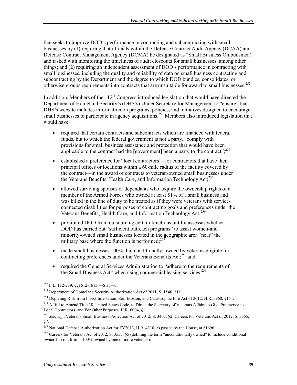that seeks to improve DOD's performance in contracting and subcontracting with small businesses by (1) requiring that officials within the Defense Contract Audit Agency (DCAA) and Defense Contract Management Agency (DCMA) be designated as "Small Business Ombudsmen" and tasked with monitoring the timeliness of audit closeouts for small businesses, among other things; and (2) requiring an independent assessment of DOD's performance in contracting with small businesses, including the quality and reliability of data on small business contracting and subcontracting by the Department and the degree to which DOD bundles, consolidates, or otherwise groups requirements into contracts that are unsuitable for award to small businesses.<sup>252</sup>

In addition, Members of the  $112<sup>th</sup>$  Congress introduced legislation that would have directed the Department of Homeland Security's (DHS's) Under Secretary for Management to "ensure" that DHS's website includes information on programs, policies, and initiatives designed to encourage small businesses to participate in agency acquisitions.<sup>253</sup> Members also introduced legislation that would have

- required that certain contracts and subcontracts which are financed with federal funds, but to which the federal government is not a party, "comply with provisions for small business assistance and protection that would have been applicable to the contract had the [government] been a party to the contract": $^{2.254}$
- established a preference for "local contractors"—or contractors that have their principal offices or locations within a 60-mile radius of the facility covered by the contract—in the award of contracts to veteran-owned small businesses under the Veterans Benefits, Health Care, and Information Technology Act;<sup>255</sup>
- allowed surviving spouses or dependants who acquire the ownership rights of a member of the Armed Forces who owned at least 51% of a small business and was killed in the line of duty to be treated as if they were veterans with serviceconnected disabilities for purposes of contracting goals and preferences under the Veterans Benefits, Health Care, and Information Technology Act;<sup>256</sup>
- prohibited DOD from outsourcing certain functions until it assesses whether DOD has carried out "sufficient outreach programs" to assist women-and minority-owned small businesses located in the geographic area "near" the military base where the function is performed; $^{25}$
- made small businesses 100%, but conditionally, owned by veterans eligible for contracting preferences under the Veterans Benefits Act;<sup>258</sup> and
- required the General Services Administration to "adhere to the requirements of the Small Business Act" when using commercial leasing services. $<sup>2</sup>$ </sup>

<sup>252</sup> P.L. 112-239, §§1612-1613,—Stat.—.

<sup>253</sup> Department of Homeland Security Authorization Act of 2011, S. 1546, §111.

<sup>&</sup>lt;sup>254</sup> Depleting Risk from Insect Infestation, Soil Erosion, and Catastrophic Fire Act of 2012, H.R. 5960, §141.

<sup>&</sup>lt;sup>255</sup> A Bill to Amend Title 38, United States Code, to Direct the Secretary of Veterans Affairs to Give Preference to Local Contractors, and For Other Purposes, H.R. 6004, §1.

<sup>256</sup> *See, e.g.*, Veterans Small Business Protection Act of 2012, S. 3405, §2; Careers for Veterans Act of 2012, S. 3555, §7.

<sup>&</sup>lt;sup>257</sup> National Defense Authorization Act for FY2013, H.R. 4310, as passed by the House, at §1696.

 $^{258}$  Careers for Veterans Act of 2012, S. 3555, §5 (defining the term "unconditionally owned" to include conditional ownership if a firm is 100% owned by one or more veterans).